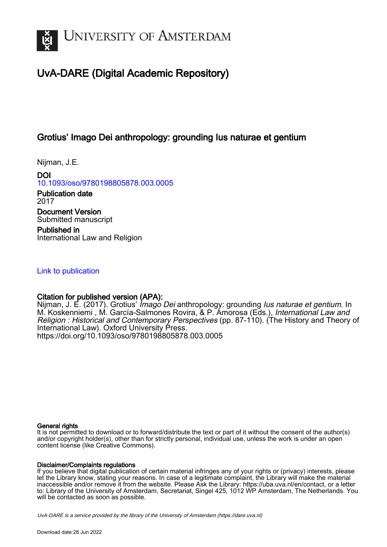

## UvA-DARE (Digital Academic Repository)

## Grotius' Imago Dei anthropology: grounding Ius naturae et gentium

Nijman, J.E.

DOI [10.1093/oso/9780198805878.003.0005](https://doi.org/10.1093/oso/9780198805878.003.0005)

Publication date 2017 Document Version Submitted manuscript

Published in International Law and Religion

[Link to publication](https://dare.uva.nl/personal/pure/en/publications/grotius-imago-dei-anthropology-grounding-ius-naturae-et-gentium(003dba05-111c-43d3-ae34-e7ceb5648b39).html)

### Citation for published version (APA):

Nijman, J. E. (2017). Grotius' *Imago Dei* anthropology: grounding *Ius naturae et gentium*. In M. Koskenniemi, M. García-Salmones Rovira, & P. Amorosa (Eds.), International Law and Religion : Historical and Contemporary Perspectives (pp. 87-110). (The History and Theory of International Law). Oxford University Press. <https://doi.org/10.1093/oso/9780198805878.003.0005>

#### General rights

It is not permitted to download or to forward/distribute the text or part of it without the consent of the author(s) and/or copyright holder(s), other than for strictly personal, individual use, unless the work is under an open content license (like Creative Commons).

#### Disclaimer/Complaints regulations

If you believe that digital publication of certain material infringes any of your rights or (privacy) interests, please let the Library know, stating your reasons. In case of a legitimate complaint, the Library will make the material inaccessible and/or remove it from the website. Please Ask the Library: https://uba.uva.nl/en/contact, or a letter to: Library of the University of Amsterdam, Secretariat, Singel 425, 1012 WP Amsterdam, The Netherlands. You will be contacted as soon as possible.

UvA-DARE is a service provided by the library of the University of Amsterdam (http*s*://dare.uva.nl)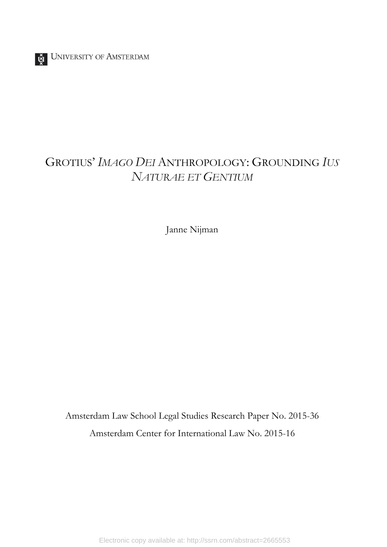UNIVERSITY OF AMSTERDAM

# GROTIUS' *IMAGO DEI* ANTHROPOLOGY: GROUNDING *IUS NATURAE ET GENTIUM*

Janne Nijman

Amsterdam Law School Legal Studies Research Paper No. 2015-36 Amsterdam Center for International Law No. 2015-16

Electronic copy available at: http://ssrn.com/abstract=2665553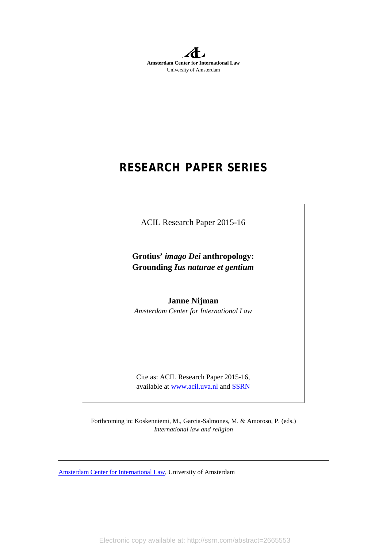**Amsterdam Center for International Law** University of Amsterdam

# **RESEARCH PAPER SERIES**

ACIL Research Paper 2015-16

**Grotius'** *imago Dei* **anthropology: Grounding** *Ius naturae et gentium*

**Janne Nijman** *Amsterdam Center for International Law*

Cite as: ACIL Research Paper 2015-16, available at [www.acil.uva.nl](http://www.acil.uva.nl/) an[d SSRN](http://papers.ssrn.com/sol3/JELJOUR_Results.cfm?form_name=journalBrowse&journal_id=1788426)

Forthcoming in: Koskenniemi, M., Garcia-Salmones, M. & Amoroso, P. (eds.) *International law and religion*

[Amsterdam Center for International Law,](http://acil.uva.nl/) University of Amsterdam

Electronic copy available at: http://ssrn.com/abstract=2665553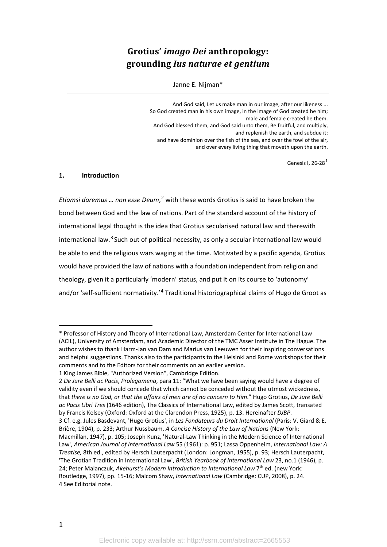## **Grotius'** *imago Dei* **anthropology: grounding** *Ius naturae et gentium*

#### Janne E. Nijman\*

And God said, Let us make man in our image, after our likeness ... So God created man in his own image, in the image of God created he him; male and female created he them. And God blessed them, and God said unto them, Be fruitful, and multiply, and replenish the earth, and subdue it: and have dominion over the fish of the sea, and over the fowl of the air, and over every living thing that moveth upon the earth.

Genesis I, 26-28<sup>[1](#page-3-0)</sup>

#### **1. Introduction**

*Etiamsi daremus … non esse Deum*, [2](#page-3-1) with these words Grotius is said to have broken the bond between God and the law of nations. Part of the standard account of the history of international legal thought is the idea that Grotius secularised natural law and therewith international law. $3$  Such out of political necessity, as only a secular international law would be able to end the religious wars waging at the time. Motivated by a pacific agenda, Grotius would have provided the law of nations with a foundation independent from religion and theology, given it a particularly 'modern' status, and put it on its course to 'autonomy' and/or 'self-sufficient normativity.'[4](#page-3-3) Traditional historiographical claims of Hugo de Groot as

<span id="page-3-2"></span>3 Cf. e.g. Jules Basdevant, 'Hugo Grotius', in *Les Fondateurs du Droit International* (Paris: V. Giard & E. Brière, 1904), p. 233; Arthur Nussbaum, *A Concise History of the Law of Nations* (New York:

<span id="page-3-0"></span><sup>\*</sup> Professor of History and Theory of International Law, Amsterdam Center for International Law (ACIL), University of Amsterdam, and Academic Director of the TMC Asser Institute in The Hague. The author wishes to thank Harm-Jan van Dam and Marius van Leeuwen for their inspiring conversations and helpful suggestions. Thanks also to the participants to the Helsinki and Rome workshops for their comments and to the Editors for their comments on an earlier version.

<sup>1</sup> King James Bible, "Authorized Version", Cambridge Edition.

<span id="page-3-1"></span><sup>2</sup> *De Jure Belli ac Pacis*, *Prolegomena*, para 11: "What we have been saying would have a degree of validity even if we should concede that which cannot be conceded without the utmost wickedness, that *there is no God, or that the affairs of men are of no concern to Him*." Hugo Grotius, *De Jure Belli ac Pacis Libri Tres* (1646 edition), The Classics of International Law, edited by James Scott, transated by Francis Kelsey (Oxford: Oxford at the Clarendon Press, 1925), p. 13. Hereinafter *DJBP*.

<span id="page-3-3"></span>Macmillan, 1947), p. 105; Joseph Kunz, 'Natural-Law Thinking in the Modern Science of International Law', *American Journal of International Law* 55 (1961): p. 951; Lassa Oppenheim, *International Law: A Treatise,* 8th ed., edited by Hersch Lauterpacht (London: Longman, 1955), p. 93; Hersch Lauterpacht, 'The Grotian Tradition in International Law', *British Yearbook of International Law* 23, no.1 (1946), p. 24; Peter Malanczuk, *Akehurst's Modern Introduction to International Law* 7th ed. (new York: Routledge, 1997), pp. 15-16; Malcom Shaw, *International Law* (Cambridge: CUP, 2008), p. 24. 4 See Editorial note.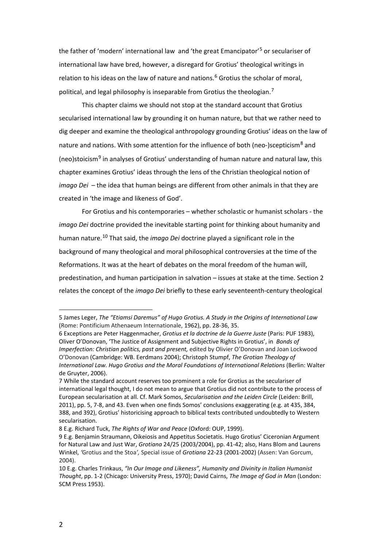<span id="page-4-7"></span>the father of 'modern' international law and 'the great Emancipator'<sup>[5](#page-4-0)</sup> or seculariser of international law have bred, however, a disregard for Grotius' theological writings in relation to his ideas on the law of nature and nations.<sup>[6](#page-4-1)</sup> Grotius the scholar of moral, political, and legal philosophy is inseparable from Grotius the theologian.<sup>[7](#page-4-2)</sup>

This chapter claims we should not stop at the standard account that Grotius secularised international law by grounding it on human nature, but that we rather need to dig deeper and examine the theological anthropology grounding Grotius' ideas on the law of nature and nations. With some attention for the influence of both (neo-)scepticism<sup>[8](#page-4-3)</sup> and (neo)stoicism<sup>[9](#page-4-4)</sup> in analyses of Grotius' understanding of human nature and natural law, this chapter examines Grotius' ideas through the lens of the Christian theological notion of *imago Dei* – the idea that human beings are different from other animals in that they are created in 'the image and likeness of God'.

<span id="page-4-6"></span>For Grotius and his contemporaries – whether scholastic or humanist scholars - the *imago Dei* doctrine provided the inevitable starting point for thinking about humanity and human nature.[10](#page-4-5) That said, the *imago Dei* doctrine played a significant role in the background of many theological and moral philosophical controversies at the time of the Reformations. It was at the heart of debates on the moral freedom of the human will, predestination, and human participation in salvation – issues at stake at the time. Section 2 relates the concept of the *imago Dei* briefly to these early seventeenth-century theological

<span id="page-4-0"></span><sup>5</sup> James Leger, *The "Etiamsi Daremus" of Hugo Grotius. A Study in the Origins of International Law* (Rome: Pontificium Athenaeum Internationale, 1962), pp. 28-36, 35.

<span id="page-4-1"></span><sup>6</sup> Exceptions are Peter Haggenmacher, *Grotius et la doctrine de la Guerre Juste* (Paris: PUF 1983), Oliver O'Donovan, 'The Justice of Assignment and Subjective Rights in Grotius', in *Bonds of Imperfection: Christian politics, past and present,* edited by Olivier O'Donovan and Joan Lockwood O'Donovan (Cambridge: WB. Eerdmans 2004); Christoph Stumpf, *The Grotian Theology of International Law. Hugo Grotius and the Moral Foundations of International Relations* (Berlin: Walter de Gruyter, 2006).

<span id="page-4-2"></span><sup>7</sup> While the standard account reserves too prominent a role for Grotius as the seculariser of international legal thought, I do not mean to argue that Grotius did not contribute to the process of European secularisation at all. Cf. Mark Somos, *Secularisation and the Leiden Circle* (Leiden: Brill, 2011), pp. 5, 7-8, and 43. Even when one finds Somos' conclusions exaggerating (e.g. at 435, 384, 388, and 392), Grotius' historicising approach to biblical texts contributed undoubtedly to Western secularisation.

<span id="page-4-3"></span><sup>8</sup> E.g. Richard Tuck, *The Rights of War and Peace* (Oxford: OUP, 1999).

<span id="page-4-4"></span><sup>9</sup> E.g. Benjamin Straumann, Oikeiosis and Appetitus Societatis. Hugo Grotius' Ciceronian Argument for Natural Law and Just War, *Grotiana* 24/25 (2003/2004), pp. 41-42; also, Hans Blom and Laurens Winkel, *'*Grotius and the Stoa*',* Special issue of *Grotiana* 22-23 (2001-2002) (Assen: Van Gorcum, 2004).

<span id="page-4-5"></span><sup>10</sup> E.g. Charles Trinkaus, *"In Our Image and Likeness", Humanity and Divinity in Italian Humanist Thought*, pp. 1-2 (Chicago: University Press, 1970); David Cairns, *The Image of God in Man* (London: SCM Press 1953).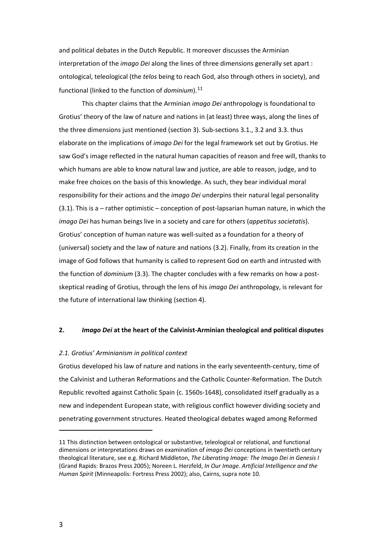and political debates in the Dutch Republic. It moreover discusses the Arminian interpretation of the *imago Dei* along the lines of three dimensions generally set apart : ontological, teleological (the *telos* being to reach God, also through others in society), and functional (linked to the function of *dominium*). [11](#page-5-0)

This chapter claims that the Arminian *imago Dei* anthropology is foundational to Grotius' theory of the law of nature and nations in (at least) three ways, along the lines of the three dimensions just mentioned (section 3). Sub-sections 3.1., 3.2 and 3.3. thus elaborate on the implications of *imago Dei* for the legal framework set out by Grotius. He saw God's image reflected in the natural human capacities of reason and free will, thanks to which humans are able to know natural law and justice, are able to reason, judge, and to make free choices on the basis of this knowledge. As such, they bear individual moral responsibility for their actions and the *imago Dei* underpins their natural legal personality (3.1). This is a – rather optimistic – conception of post-lapsarian human nature, in which the *imago Dei* has human beings live in a society and care for others (*appetitus societatis*). Grotius' conception of human nature was well-suited as a foundation for a theory of (universal) society and the law of nature and nations (3.2). Finally, from its creation in the image of God follows that humanity is called to represent God on earth and intrusted with the function of *dominium* (3.3). The chapter concludes with a few remarks on how a postskeptical reading of Grotius, through the lens of his *imago Dei* anthropology, is relevant for the future of international law thinking (section 4).

#### **2.** *Imago Dei* **at the heart of the Calvinist-Arminian theological and political disputes**

#### *2.1. Grotius' Arminianism in political context*

Grotius developed his law of nature and nations in the early seventeenth-century, time of the Calvinist and Lutheran Reformations and the Catholic Counter-Reformation. The Dutch Republic revolted against Catholic Spain (c. 1560s-1648), consolidated itself gradually as a new and independent European state, with religious conflict however dividing society and penetrating government structures. Heated theological debates waged among Reformed

<span id="page-5-0"></span><sup>11</sup> This distinction between ontological or substantive, teleological or relational, and functional dimensions or interpretations draws on examination of *imago Dei* conceptions in twentieth century theological literature, see e.g. Richard Middleton, *The Liberating Image: The Imago Dei in Genesis I* (Grand Rapids: Brazos Press 2005); Noreen L. Herzfeld, *In Our Image. Artificial Intelligence and the Human Spirit* (Minneapolis: Fortress Press 2002); also, Cairns, supra note [10.](#page-4-6)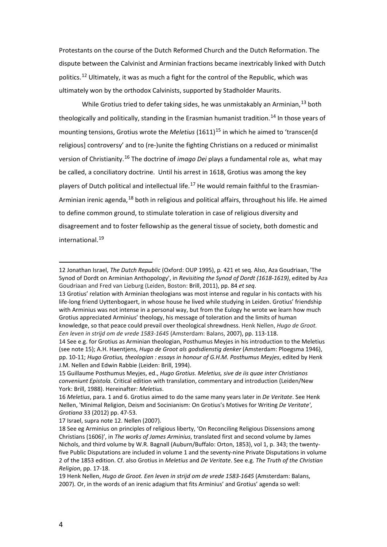<span id="page-6-1"></span>Protestants on the course of the Dutch Reformed Church and the Dutch Reformation. The dispute between the Calvinist and Arminian fractions became inextricably linked with Dutch politics.<sup>[12](#page-6-2)</sup> Ultimately, it was as much a fight for the control of the Republic, which was ultimately won by the orthodox Calvinists, supported by Stadholder Maurits.

<span id="page-6-0"></span>While Grotius tried to defer taking sides, he was unmistakably an Arminian,  $^{13}$  $^{13}$  $^{13}$  both theologically and politically, standing in the Erasmian humanist tradition.<sup>[14](#page-6-4)</sup> In those years of mounting tensions, Grotius wrote the *Meletius* (1611)<sup>[15](#page-6-5)</sup> in which he aimed to 'transcen[d religious] controversy' and to (re-)unite the fighting Christians on a reduced or minimalist version of Christianity.[16](#page-6-6) The doctrine of *imago Dei* plays a fundamental role as, what may be called, a conciliatory doctrine. Until his arrest in 1618, Grotius was among the key players of Dutch political and intellectual life.<sup>[17](#page-6-7)</sup> He would remain faithful to the Erasmian-Arminian irenic agenda, <sup>[18](#page-6-8)</sup> both in religious and political affairs, throughout his life. He aimed to define common ground, to stimulate toleration in case of religious diversity and disagreement and to foster fellowship as the general tissue of society, both domestic and international<sup>[19](#page-6-9)</sup>

<span id="page-6-2"></span><sup>12</sup> Jonathan Israel, *The Dutch Republic* (Oxford: OUP 1995), p. 421 et seq. Also, Aza Goudriaan, 'The Synod of Dordt on Arminian Anthopology', in *Revisiting the Synod of Dordt (1618-1619)*, edited by Aza Goudriaan and Fred van Lieburg (Leiden, Boston: Brill, 2011), pp. 84 *et seq*.

<span id="page-6-3"></span><sup>13</sup> Grotius' relation with Arminian theologians was most intense and regular in his contacts with his life-long friend Uyttenbogaert, in whose house he lived while studying in Leiden. Grotius' friendship with Arminius was not intense in a personal way, but from the Eulogy he wrote we learn how much Grotius appreciated Arminius' theology, his message of toleration and the limits of human knowledge, so that peace could prevail over theological shrewdness. Henk Nellen, *Hugo de Groot. Een leven in strijd om de vrede 1583-1645* (Amsterdam: Balans, 2007), pp. 113-118.

<span id="page-6-4"></span><sup>14</sup> See e.g. for Grotius as Arminian theologian, Posthumus Meyjes in his introduction to the Meletius (see note [15\)](#page-6-0); A.H. Haentjens, *Hugo de Groot als godsdienstig denker* (Amsterdam: Ploegsma 1946), pp. 10-11; *Hugo Grotius, theologian : essays in honour of G.H.M. Posthumus Meyjes*, edited by Henk J.M. Nellen and Edwin Rabbie (Leiden: Brill, 1994).

<span id="page-6-5"></span><sup>15</sup> Guillaume Posthumus Meyjes, ed., *Hugo Grotius. Meletius, sive de iis quae inter Christianos conveniunt Epistola.* Critical edition with translation, commentary and introduction (Leiden/New York: Brill, 1988). Hereinafter: *Meletius*.

<span id="page-6-6"></span><sup>16</sup> *Meletius*, para. 1 and 6. Grotius aimed to do the same many years later in *De Veritate*. See Henk Nellen, 'Minimal Religion, Deism and Socinianism: On Grotius's Motives for Writing *De Veritate'*, *Grotiana* 33 (2012) pp. 47-53.

<span id="page-6-7"></span><sup>17</sup> Israel, supra note [12.](#page-6-1) Nellen (2007).

<span id="page-6-8"></span><sup>18</sup> See eg Arminius on principles of religious liberty, 'On Reconciling Religious Dissensions among Christians (1606)', in *The works of James Arminius*, translated first and second volume by James Nichols, and third volume by W.R. Bagnall (Auburn/Buffalo: Orton, 1853), vol 1, p. 343; the twentyfive Public Disputations are included in volume 1 and the seventy-nine Private Disputations in volume 2 of the 1853 edition. Cf. also Grotius in *Meletius* and *De Veritate*. See e.g. *The Truth of the Christian Religion*, pp. 17-18.

<span id="page-6-9"></span><sup>19</sup> Henk Nellen, *Hugo de Groot. Een leven in strijd om de vrede 1583-1645* (Amsterdam: Balans, 2007). Or, in the words of an irenic adagium that fits Arminius' and Grotius' agenda so well: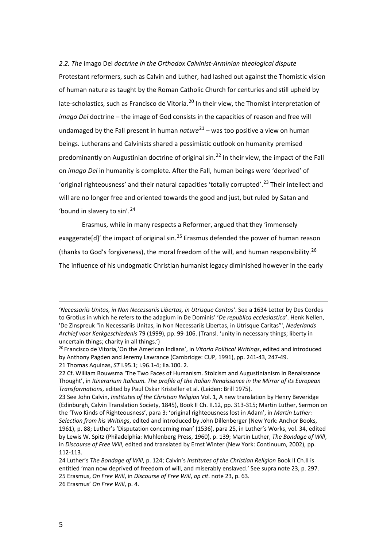*2.2. The* imago Dei *doctrine in the Orthodox Calvinist-Arminian theological dispute* Protestant reformers, such as Calvin and Luther, had lashed out against the Thomistic vision of human nature as taught by the Roman Catholic Church for centuries and still upheld by late-scholastics, such as Francisco de Vitoria.<sup>[20](#page-7-1)</sup> In their view, the Thomist interpretation of *imago Dei* doctrine – the image of God consists in the capacities of reason and free will undamaged by the Fall present in human *nature*[21](#page-7-2) – was too positive a view on human beings. Lutherans and Calvinists shared a pessimistic outlook on humanity premised predominantly on Augustinian doctrine of original  $sin<sup>22</sup>$  $sin<sup>22</sup>$  $sin<sup>22</sup>$  In their view, the impact of the Fall on *imago Dei* in humanity is complete. After the Fall, human beings were 'deprived' of 'original righteousness' and their natural capacities 'totally corrupted'.<sup>[23](#page-7-4)</sup> Their intellect and will are no longer free and oriented towards the good and just, but ruled by Satan and 'bound in slavery to sin'.[24](#page-7-5)

<span id="page-7-0"></span>Erasmus, while in many respects a Reformer, argued that they 'immensely exaggerate[d]' the impact of original sin.<sup>[25](#page-7-6)</sup> Erasmus defended the power of human reason (thanks to God's forgiveness), the moral freedom of the will, and human responsibility.<sup>[26](#page-7-7)</sup> The influence of his undogmatic Christian humanist legacy diminished however in the early

 $\overline{a}$ 

<sup>&#</sup>x27;*Necessariis Unitas, in Non Necessariis Libertas, in Utrisque Caritas'*. See a 1634 Letter by Des Cordes to Grotius in which he refers to the adagium in De Dominis' '*De republica ecclesiastica*'. Henk Nellen, 'De Zinspreuk "in Necessariis Unitas, in Non Necessariis Libertas, in Utrisque Caritas"', *Nederlands Archief voor Kerkgeschiedenis* 79 (1999), pp. 99-106. (Transl. 'unity in necessary things; liberty in uncertain things; charity in all things.')

<span id="page-7-1"></span><sup>20</sup> Francisco de Vitoria,'On the American Indians', in *Vitoria Political Writings*, edited and introduced by Anthony Pagden and Jeremy Lawrance (Cambridge: CUP, 1991), pp. 241-43, 247-49. 21 Thomas Aquinas, *ST* I.95.1; I.96.1-4; IIa.100. 2.

<span id="page-7-3"></span><span id="page-7-2"></span><sup>22</sup> Cf. William Bouwsma 'The Two Faces of Humanism. Stoicism and Augustinianism in Renaissance Thought', in *Itinerarium Italicum. The profile of the Italian Renaissance in the Mirror of its European Transformations*, edited by Paul Oskar Kristeller et al. (Leiden: Brill 1975).

<span id="page-7-4"></span><sup>23</sup> See John Calvin, *Institutes of the Christian Religion* Vol. 1, A new translation by Henry Beveridge (Edinburgh, Calvin Translation Society, 1845), Book II Ch. II.12, pp. 313-315; Martin Luther, Sermon on the 'Two Kinds of Righteousness', para 3: 'original righteousness lost in Adam', in *Martin Luther: Selection from his Writings*, edited and introduced by John Dillenberger (New York: Anchor Books, 1961), p. 88; Luther's 'Disputation concerning man' (1536), para 25, in Luther's Works, vol. 34, edited by Lewis W. Spitz (Philadelphia: Muhlenberg Press, 1960), p. 139; Martin Luther, *The Bondage of Will*, in *Discourse of Free Will*, edited and translated by Ernst Winter (New York: Continuum, 2002), pp. 112-113.

<span id="page-7-7"></span><span id="page-7-6"></span><span id="page-7-5"></span><sup>24</sup> Luther's *The Bondage of Will*, p. 124; Calvin's *Institutes of the Christian Religion* Book II Ch.II is entitled 'man now deprived of freedom of will, and miserably enslaved.' See supra not[e 23,](#page-7-0) p. 297. 25 Erasmus, *On Free Will*, in *Discourse of Free Will*, *op cit*. not[e 23,](#page-7-0) p. 63. 26 Erasmus' *On Free Will*, p. 4.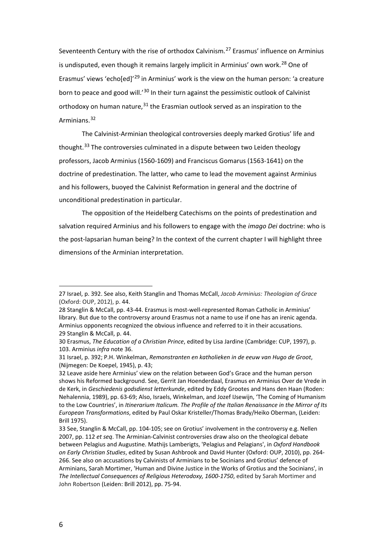Seventeenth Century with the rise of orthodox Calvinism.<sup>[27](#page-8-0)</sup> Erasmus' influence on Arminius is undisputed, even though it remains largely implicit in Arminius' own work.<sup>[28](#page-8-1)</sup> One of Erasmus' views 'echo[ed]<sup>'[29](#page-8-2)</sup> in Arminius' work is the view on the human person: 'a creature born to peace and good will.<sup>'[30](#page-8-3)</sup> In their turn against the pessimistic outlook of Calvinist orthodoxy on human nature,  $31$  the Erasmian outlook served as an inspiration to the Arminians.[32](#page-8-5)

The Calvinist-Arminian theological controversies deeply marked Grotius' life and thought.<sup>[33](#page-8-6)</sup> The controversies culminated in a dispute between two Leiden theology professors, Jacob Arminius (1560-1609) and Franciscus Gomarus (1563-1641) on the doctrine of predestination. The latter, who came to lead the movement against Arminius and his followers, buoyed the Calvinist Reformation in general and the doctrine of unconditional predestination in particular.

The opposition of the Heidelberg Catechisms on the points of predestination and salvation required Arminius and his followers to engage with the *imago Dei* doctrine: who is the post-lapsarian human being? In the context of the current chapter I will highlight three dimensions of the Arminian interpretation.

<span id="page-8-0"></span><sup>27</sup> Israel, p. 392. See also, Keith Stanglin and Thomas McCall, *Jacob Arminius: Theologian of Grace* (Oxford: OUP, 2012), p. 44.

<span id="page-8-1"></span><sup>28</sup> Stanglin & McCall, pp. 43-44. Erasmus is most-well-represented Roman Catholic in Arminius' library. But due to the controversy around Erasmus not a name to use if one has an irenic agenda. Arminius opponents recognized the obvious influence and referred to it in their accusations. 29 Stanglin & McCall, p. 44.

<span id="page-8-3"></span><span id="page-8-2"></span><sup>30</sup> Erasmus, *The Education of a Christian Prince*, edited by Lisa Jardine (Cambridge: CUP, 1997), p. 103. Arminius *infra* note 36.

<span id="page-8-4"></span><sup>31</sup> Israel, p. 392; P.H. Winkelman, *Remonstranten en katholieken in de eeuw van Hugo de Groot*, (Nijmegen: De Koepel, 1945), p. 43;

<span id="page-8-5"></span><sup>32</sup> Leave aside here Arminius' view on the relation between God's Grace and the human person shows his Reformed background. See, Gerrit Jan Hoenderdaal, Erasmus en Arminius Over de Vrede in de Kerk, in *Geschiedenis godsdienst letterkunde*, edited by Eddy Grootes and Hans den Haan (Roden: Nehalennia, 1989), pp. 63-69; Also, Israels, Winkelman, and Jozef IJsewijn, 'The Coming of Humanism to the Low Countries', in *Itinerarium Italicum. The Profile of the Italian Renaissance in the Mirror of Its European Transformations*, edited by Paul Oskar Kristeller/Thomas Brady/Heiko Oberman, (Leiden: Brill 1975).

<span id="page-8-6"></span><sup>33</sup> See, Stanglin & McCall, pp. 104-105; see on Grotius' involvement in the controversy e.g. Nellen 2007, pp. 112 *et seq*. The Arminian-Calvinist controversies draw also on the theological debate between Pelagius and Augustine. Mathijs Lamberigts, 'Pelagius and Pelagians', in *Oxford Handbook on Early Christian Studies*, edited by Susan Ashbrook and David Hunter (Oxford: OUP, 2010), pp. 264- 266. See also on accusations by Calvinists of Arminians to be Socinians and Grotius' defence of Arminians, Sarah Mortimer, 'Human and Divine Justice in the Works of Grotius and the Socinians', in *The Intellectual Consequences of Religious Heterodoxy, 1600-1750*, edited by Sarah Mortimer and John Robertson (Leiden: Brill 2012), pp. 75-94.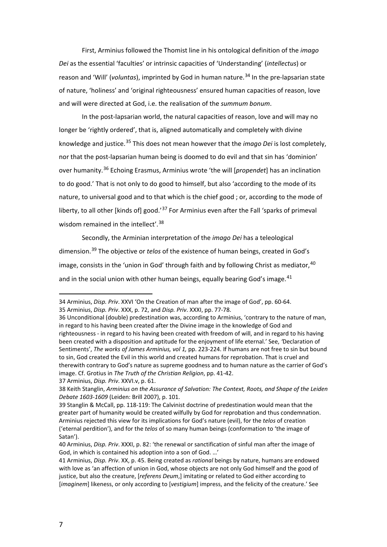First, Arminius followed the Thomist line in his ontological definition of the *imago Dei* as the essential 'faculties' or intrinsic capacities of 'Understanding' (*intellectus*) or reason and 'Will' (*voluntas*), imprinted by God in human nature.<sup>[34](#page-9-0)</sup> In the pre-lapsarian state of nature, 'holiness' and 'original righteousness' ensured human capacities of reason, love and will were directed at God, i.e. the realisation of the *summum bonum*.

In the post-lapsarian world, the natural capacities of reason, love and will may no longer be 'rightly ordered', that is, aligned automatically and completely with divine knowledge and justice.[35](#page-9-1) This does not mean however that the *imago Dei* is lost completely, nor that the post-lapsarian human being is doomed to do evil and that sin has 'dominion' over humanity.[36](#page-9-2) Echoing Erasmus, Arminius wrote 'the will [*propendet*] has an inclination to do good.' That is not only to do good to himself, but also 'according to the mode of its nature, to universal good and to that which is the chief good ; or, according to the mode of liberty, to all other [kinds of] good.<sup>[37](#page-9-3)</sup> For Arminius even after the Fall 'sparks of primeval wisdom remained in the intellect'.<sup>[38](#page-9-4)</sup>

Secondly, the Arminian interpretation of the *imago Dei* has a teleological dimension.[39](#page-9-5) The objective or *telos* of the existence of human beings, created in God's image, consists in the 'union in God' through faith and by following Christ as mediator,  $40$ and in the social union with other human beings, equally bearing God's image. $41$ 

<span id="page-9-0"></span><sup>34</sup> Arminius, *Disp. Priv*. XXVI 'On the Creation of man after the image of God', pp. 60-64. 35 Arminius, *Disp. Priv*. XXX, p. 72, and *Disp. Priv*. XXXI, pp. 77-78.

<span id="page-9-2"></span><span id="page-9-1"></span><sup>36</sup> Unconditional (double) predestination was, according to Arminius, 'contrary to the nature of man, in regard to his having been created after the Divine image in the knowledge of God and righteousness - in regard to his having been created with freedom of will, and in regard to his having been created with a disposition and aptitude for the enjoyment of life eternal.' See, *'*Declaration of Sentiments', *The works of James Arminius, vol 1,* pp. 223-224. If humans are not free to sin but bound to sin, God created the Evil in this world and created humans for reprobation. That is cruel and therewith contrary to God's nature as supreme goodness and to human nature as the carrier of God's image. Cf. Grotius in *The Truth of the Christian Religion*, pp. 41-42.

<span id="page-9-3"></span><sup>37</sup> Arminius, *Disp. Priv*. XXVI.v, p. 61.

<span id="page-9-4"></span><sup>38</sup> Keith Stanglin, *Arminius on the Assurance of Salvation: The Context, Roots, and Shape of the Leiden Debate 1603-1609* (Leiden: Brill 2007), p. 101.

<span id="page-9-5"></span><sup>39</sup> Stanglin & McCall, pp. 118-119: The Calvinist doctrine of predestination would mean that the greater part of humanity would be created wilfully by God for reprobation and thus condemnation. Arminius rejected this view for its implications for God's nature (evil), for the *telos* of creation ('eternal perdition'), and for the *telos* of so many human beings (conformation to 'the image of Satan').

<span id="page-9-6"></span><sup>40</sup> Arminius, *Disp. Priv*. XXXI, p. 82: 'the renewal or sanctification of sinful man after the image of God, in which is contained his adoption into a son of God. …'

<span id="page-9-7"></span><sup>41</sup> Arminius, *Disp. Priv*. XX, p. 45. Being created as *rational* beings by nature, humans are endowed with love as 'an affection of union in God, whose objects are not only God himself and the good of justice, but also the creature, [*referens Deum*,] imitating or related to God either according to [*imaginem*] likeness, or only according to [*vestigium*] impress, and the felicity of the creature.' See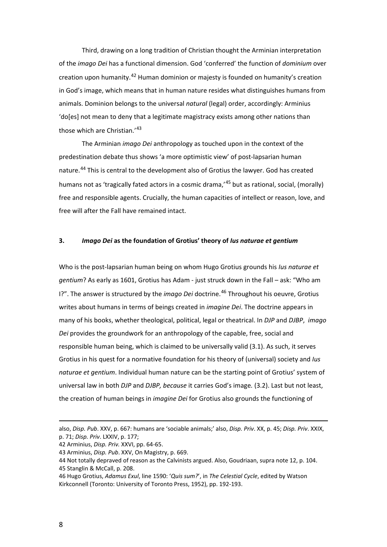Third, drawing on a long tradition of Christian thought the Arminian interpretation of the *imago Dei* has a functional dimension. God 'conferred' the function of *dominium* over creation upon humanity.<sup>[42](#page-10-0)</sup> Human dominion or majesty is founded on humanity's creation in God's image, which means that in human nature resides what distinguishes humans from animals. Dominion belongs to the universal *natural* (legal) order, accordingly: Arminius 'do[es] not mean to deny that a legitimate magistracy exists among other nations than those which are Christian.'[43](#page-10-1)

The Arminian *imago Dei* anthropology as touched upon in the context of the predestination debate thus shows 'a more optimistic view' of post-lapsarian human nature.[44](#page-10-2) This is central to the development also of Grotius the lawyer. God has created humans not as 'tragically fated actors in a cosmic drama,'<sup>[45](#page-10-3)</sup> but as rational, social, (morally) free and responsible agents. Crucially, the human capacities of intellect or reason, love, and free will after the Fall have remained intact.

#### **3.** *Imago Dei* **as the foundation of Grotius' theory of** *Ius naturae et gentium*

Who is the post-lapsarian human being on whom Hugo Grotius grounds his *Ius naturae et gentium*? As early as 1601, Grotius has Adam - just struck down in the Fall – ask: "Who am I?". The answer is structured by the *imago Dei* doctrine.[46](#page-10-4) Throughout his oeuvre, Grotius writes about humans in terms of beings created in *imagine Dei*. The doctrine appears in many of his books, whether theological, political, legal or theatrical. In *DJP* and *DJBP*, *imago Dei* provides the groundwork for an anthropology of the capable, free, social and responsible human being, which is claimed to be universally valid (3.1). As such, it serves Grotius in his quest for a normative foundation for his theory of (universal) society and *Ius naturae et gentium*. Individual human nature can be the starting point of Grotius' system of universal law in both *DJP* and *DJBP, because* it carries God's image*.* (3.2). Last but not least, the creation of human beings in *imagine Dei* for Grotius also grounds the functioning of

 $\overline{a}$ 

also, *Disp. Pub*. XXV, p. 667: humans are 'sociable animals;' also, *Disp. Priv*. XX, p. 45; *Disp. Priv*. XXIX, p. 71; *Disp. Priv*. LXXIV, p. 177;

<span id="page-10-0"></span><sup>42</sup> Arminius, *Disp. Priv.* XXVI, pp. 64-65.

<span id="page-10-1"></span><sup>43</sup> Arminius, *Disp. Pub*. XXV, On Magistry, p. 669.

<span id="page-10-3"></span><span id="page-10-2"></span><sup>44</sup> Not totally depraved of reason as the Calvinists argued. Also, Goudriaan, supra note 12, p. 104. 45 Stanglin & McCall, p. 208.

<span id="page-10-4"></span><sup>46</sup> Hugo Grotius, *Adamus Exul*, line 1590: '*Quis sum?*', in *The Celestial Cycle*, edited by Watson Kirkconnell (Toronto: University of Toronto Press, 1952), pp. 192-193.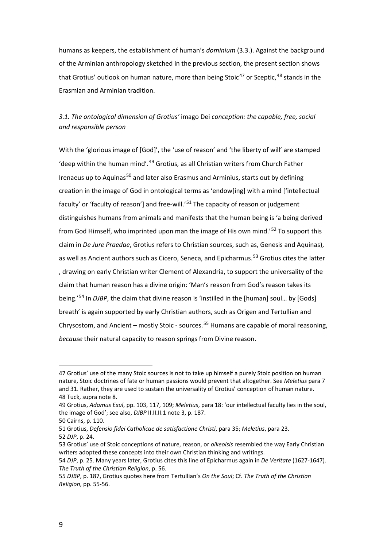humans as keepers, the establishment of human's *dominium* (3.3.). Against the background of the Arminian anthropology sketched in the previous section, the present section shows that Grotius' outlook on human nature, more than being Stoic<sup>[47](#page-11-0)</sup> or Sceptic,  $48$  stands in the Erasmian and Arminian tradition.

### *3.1. The ontological dimension of Grotius'* imago Dei *conception: the capable, free, social and responsible person*

With the 'glorious image of [God]', the 'use of reason' and 'the liberty of will' are stamped 'deep within the human mind'.<sup>[49](#page-11-2)</sup> Grotius, as all Christian writers from Church Father Irenaeus up to Aquinas<sup>[50](#page-11-3)</sup> and later also Erasmus and Arminius, starts out by defining creation in the image of God in ontological terms as 'endow[ing] with a mind ['intellectual faculty' or 'faculty of reason'] and free-will.'<sup>[51](#page-11-4)</sup> The capacity of reason or judgement distinguishes humans from animals and manifests that the human being is 'a being derived from God Himself, who imprinted upon man the image of His own mind.'[52](#page-11-5) To support this claim in *De Jure Praedae*, Grotius refers to Christian sources, such as, Genesis and Aquinas), as well as Ancient authors such as Cicero, Seneca, and Epicharmus.<sup>[53](#page-11-6)</sup> Grotius cites the latter , drawing on early Christian writer Clement of Alexandria, to support the universality of the claim that human reason has a divine origin: 'Man's reason from God's reason takes its being.'[54](#page-11-7) In *DJBP*, the claim that divine reason is 'instilled in the [human] soul… by [Gods] breath' is again supported by early Christian authors, such as Origen and Tertullian and Chrysostom, and Ancient – mostly Stoic - sources.<sup>[55](#page-11-8)</sup> Humans are capable of moral reasoning, *because* their natural capacity to reason springs from Divine reason.

<span id="page-11-0"></span><sup>47</sup> Grotius' use of the many Stoic sources is not to take up himself a purely Stoic position on human nature, Stoic doctrines of fate or human passions would prevent that altogether. See *Meletius* para 7 and 31. Rather, they are used to sustain the universality of Grotius' conception of human nature. 48 Tuck, supra note 8.

<span id="page-11-2"></span><span id="page-11-1"></span><sup>49</sup> Grotius, *Adamus Exul*, pp. 103, 117, 109; *Meletius*, para 18: 'our intellectual faculty lies in the soul, the image of God'; see also, *DJBP* II.II.II.1 note 3, p. 187.

<span id="page-11-3"></span><sup>50</sup> Cairns, p. 110.

<span id="page-11-5"></span><span id="page-11-4"></span><sup>51</sup> Grotius, *Defensio fidei Catholicae de satisfactione Christi*, para 35; *Meletius*, para 23. 52 *DJP*, p. 24.

<span id="page-11-6"></span><sup>53</sup> Grotius' use of Stoic conceptions of nature, reason, or *oikeoisis* resembled the way Early Christian writers adopted these concepts into their own Christian thinking and writings.

<span id="page-11-7"></span><sup>54</sup> *DJP*, p. 25. Many years later, Grotius cites this line of Epicharmus again in *De Veritate* (1627-1647). *The Truth of the Christian Religion*, p. 56.

<span id="page-11-8"></span><sup>55</sup> *DJBP*, p. 187, Grotius quotes here from Tertullian's *On the Soul*; Cf. *The Truth of the Christian Religion*, pp. 55-56.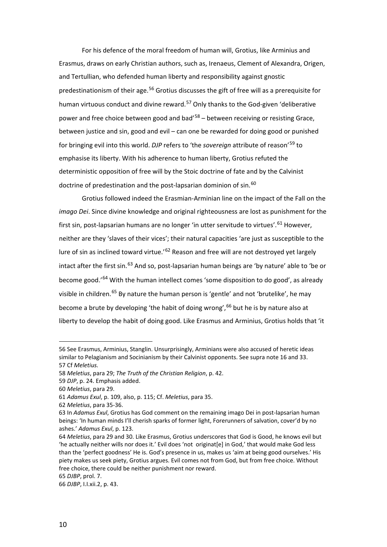For his defence of the moral freedom of human will, Grotius, like Arminius and Erasmus, draws on early Christian authors, such as, Irenaeus, Clement of Alexandra, Origen, and Tertullian, who defended human liberty and responsibility against gnostic predestinationism of their age.[56](#page-12-0) Grotius discusses the gift of free will as a prerequisite for human virtuous conduct and divine reward.<sup>[57](#page-12-1)</sup> Only thanks to the God-given 'deliberative power and free choice between good and bad<sup> $58$ </sup> – between receiving or resisting Grace, between justice and sin, good and evil – can one be rewarded for doing good or punished for bringing evil into this world. *DJP* refers to 'the *sovereign* attribute of reason'[59](#page-12-3) to emphasise its liberty. With his adherence to human liberty, Grotius refuted the deterministic opposition of free will by the Stoic doctrine of fate and by the Calvinist doctrine of predestination and the post-lapsarian dominion of sin.<sup>[60](#page-12-4)</sup>

Grotius followed indeed the Erasmian-Arminian line on the impact of the Fall on the *imago Dei*. Since divine knowledge and original righteousness are lost as punishment for the first sin, post-lapsarian humans are no longer 'in utter servitude to virtues'.<sup>[61](#page-12-5)</sup> However, neither are they 'slaves of their vices'; their natural capacities 'are just as susceptible to the lure of sin as inclined toward virtue.<sup>'[62](#page-12-6)</sup> Reason and free will are not destroyed yet largely intact after the first sin.<sup>[63](#page-12-7)</sup> And so, post-lapsarian human beings are 'by nature' able to 'be or become good.<sup>'[64](#page-12-8)</sup> With the human intellect comes 'some disposition to do good', as already visible in children.<sup>[65](#page-12-9)</sup> By nature the human person is 'gentle' and not 'brutelike', he may become a brute by developing 'the habit of doing wrong',  $66$  but he is by nature also at liberty to develop the habit of doing good. Like Erasmus and Arminius, Grotius holds that 'it

<span id="page-12-0"></span><sup>56</sup> See Erasmus, Arminius, Stanglin. Unsurprisingly, Arminians were also accused of heretic ideas similar to Pelagianism and Socinianism by their Calvinist opponents. See supra note 16 and 33. 57 Cf *Meletius.*

<span id="page-12-2"></span><span id="page-12-1"></span><sup>58</sup> *Meletius*, para 29; *The Truth of the Christian Religion*, p. 42.

<span id="page-12-3"></span><sup>59</sup> *DJP*, p. 24. Emphasis added.

<span id="page-12-4"></span><sup>60</sup> *Meletius*, para 29.

<span id="page-12-5"></span><sup>61</sup> *Adamus Exul*, p. 109, also, p. 115; Cf. *Meletius*, para 35.

<span id="page-12-6"></span><sup>62</sup> *Meletius*, para 35-36.

<span id="page-12-7"></span><sup>63</sup> In *Adamus Exul*, Grotius has God comment on the remaining imago Dei in post-lapsarian human beings: 'In human minds I'll cherish sparks of former light, Forerunners of salvation, cover'd by no ashes.' *Adamus Exul*, p. 123.

<span id="page-12-8"></span><sup>64</sup> *Meletius*, para 29 and 30. Like Erasmus, Grotius underscores that God is Good, he knows evil but 'he actually neither wills nor does it.' Evil does 'not originat[e] in God,' that would make God less than the 'perfect goodness' He is. God's presence in us, makes us 'aim at being good ourselves.' His piety makes us seek piety, Grotius argues. Evil comes not from God, but from free choice. Without free choice, there could be neither punishment nor reward.

<span id="page-12-9"></span><sup>65</sup> *DJBP*, prol. 7.

<span id="page-12-10"></span><sup>66</sup> *DJBP*, I.I.xii.2, p. 43.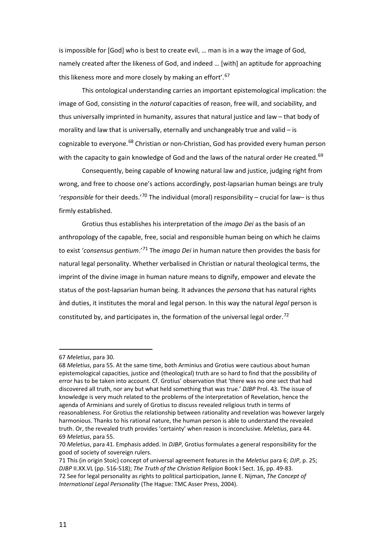is impossible for [God] who is best to create evil, … man is in a way the image of God, namely created after the likeness of God, and indeed … [with] an aptitude for approaching this likeness more and more closely by making an effort'.<sup>[67](#page-13-0)</sup>

This ontological understanding carries an important epistemological implication: the image of God, consisting in the *natural* capacities of reason, free will, and sociability, and thus universally imprinted in humanity, assures that natural justice and law – that body of morality and law that is universally, eternally and unchangeably true and valid  $-$  is cognizable to everyone.<sup>[68](#page-13-1)</sup> Christian or non-Christian, God has provided every human person with the capacity to gain knowledge of God and the laws of the natural order He created.<sup>[69](#page-13-2)</sup>

<span id="page-13-6"></span>Consequently, being capable of knowing natural law and justice, judging right from wrong, and free to choose one's actions accordingly, post-lapsarian human beings are truly '*responsible* for their deeds.'[70](#page-13-3) The individual (moral) responsibility – crucial for law– is thus firmly established.

Grotius thus establishes his interpretation of the *imago Dei* as the basis of an anthropology of the capable, free, social and responsible human being on which he claims to exist '*consensus gentium*.'[71](#page-13-4) The *imago Dei* in human nature then provides the basis for natural legal personality. Whether verbalised in Christian or natural theological terms, the imprint of the divine image in human nature means to dignify, empower and elevate the status of the post-lapsarian human being. It advances the *persona* that has natural rights ànd duties, it institutes the moral and legal person. In this way the natural *legal* person is constituted by, and participates in, the formation of the universal legal order.<sup>[72](#page-13-5)</sup>

<span id="page-13-0"></span><sup>67</sup> *Meletius*, para 30.

<span id="page-13-1"></span><sup>68</sup> *Meletius*, para 55. At the same time, both Arminius and Grotius were cautious about human epistemological capacities, justice and (theological) truth are so hard to find that the possibility of error has to be taken into account. Cf. Grotius' observation that 'there was no one sect that had discovered all truth, nor any but what held something that was true.' *DJBP* Prol. 43. The issue of knowledge is very much related to the problems of the interpretation of Revelation, hence the agenda of Arminians and surely of Grotius to discuss revealed religious truth in terms of reasonableness. For Grotius the relationship between rationality and revelation was however largely harmonious. Thanks to his rational nature, the human person is able to understand the revealed truth. Or, the revealed truth provides 'certainty' when reason is inconclusive. *Meletius*, para 44. 69 *Meletius*, para 55.

<span id="page-13-3"></span><span id="page-13-2"></span><sup>70</sup> *Meletius*, para 41. Emphasis added. In *DJBP*, Grotius formulates a general responsibility for the good of society of sovereign rulers.

<span id="page-13-5"></span><span id="page-13-4"></span><sup>71</sup> This (in origin Stoic) concept of universal agreement features in the *Meletius* para 6; *DJP*, p. 25; *DJBP* II.XX.VL (pp. 516-518); *The Truth of the Christian Religion* Book I Sect. 16, pp. 49-83. 72 See for legal personality as rights to political participation, Janne E. Nijman, *The Concept of International Legal Personality* (The Hague: TMC Asser Press, 2004).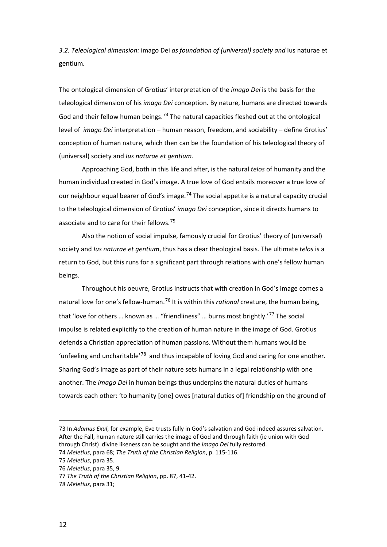*3.2. Teleological dimension:* imago Dei *as foundation of (universal) society and* Ius naturae et gentium*.*

The ontological dimension of Grotius' interpretation of the *imago Dei* is the basis for the teleological dimension of his *imago Dei* conception. By nature, humans are directed towards God and their fellow human beings.<sup>[73](#page-14-0)</sup> The natural capacities fleshed out at the ontological level of *imago Dei* interpretation – human reason, freedom, and sociability – define Grotius' conception of human nature, which then can be the foundation of his teleological theory of (universal) society and *Ius naturae et gentium*.

Approaching God, both in this life and after, is the natural *telos* of humanity and the human individual created in God's image. A true love of God entails moreover a true love of our neighbour equal bearer of God's image.<sup>[74](#page-14-1)</sup> The social appetite is a natural capacity crucial to the teleological dimension of Grotius' *imago Dei* conception, since it directs humans to associate and to care for their fellows.<sup>[75](#page-14-2)</sup>

Also the notion of social impulse, famously crucial for Grotius' theory of (universal) society and *Ius naturae et gentium*, thus has a clear theological basis. The ultimate *telos* is a return to God, but this runs for a significant part through relations with one's fellow human beings.

Throughout his oeuvre, Grotius instructs that with creation in God's image comes a natural love for one's fellow-human.[76](#page-14-3) It is within this *rational* creature, the human being, that 'love for others ... known as ... "friendliness" ... burns most brightly.'<sup>[77](#page-14-4)</sup> The social impulse is related explicitly to the creation of human nature in the image of God. Grotius defends a Christian appreciation of human passions.Without them humans would be 'unfeeling and uncharitable<sup>'78</sup> and thus incapable of loving God and caring for one another. Sharing God's image as part of their nature sets humans in a legal relationship with one another. The *imago Dei* in human beings thus underpins the natural duties of humans towards each other: 'to humanity [one] owes [natural duties of] friendship on the ground of

<span id="page-14-0"></span><sup>73</sup> In *Adamus Exul*, for example, Eve trusts fully in God's salvation and God indeed assures salvation. After the Fall, human nature still carries the image of God and through faith (ie union with God through Christ) divine likeness can be sought and the *imago Dei* fully restored.

<span id="page-14-1"></span><sup>74</sup> *Meletius*, para 68; *The Truth of the Christian Religion*, p. 115-116.

<span id="page-14-3"></span><span id="page-14-2"></span><sup>75</sup> *Meletius*, para 35.

<sup>76</sup> *Meletius*, para 35, 9.

<span id="page-14-4"></span><sup>77</sup> *The Truth of the Christian Religion*, pp. 87, 41-42.

<span id="page-14-5"></span><sup>78</sup> *Meletius*, para 31;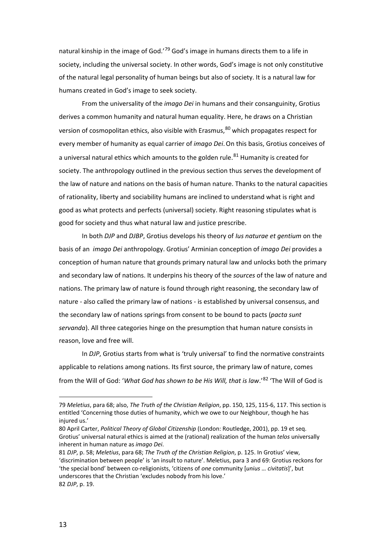natural kinship in the image of God.<sup>'[79](#page-15-0)</sup> God's image in humans directs them to a life in society, including the universal society. In other words, God's image is not only constitutive of the natural legal personality of human beings but also of society. It is a natural law for humans created in God's image to seek society.

From the universality of the *imago Dei* in humans and their consanguinity, Grotius derives a common humanity and natural human equality. Here, he draws on a Christian version of cosmopolitan ethics, also visible with Erasmus, <sup>[80](#page-15-1)</sup> which propagates respect for every member of humanity as equal carrier of *imago Dei*.On this basis, Grotius conceives of a universal natural ethics which amounts to the golden rule.<sup>[81](#page-15-2)</sup> Humanity is created for society. The anthropology outlined in the previous section thus serves the development of the law of nature and nations on the basis of human nature. Thanks to the natural capacities of rationality, liberty and sociability humans are inclined to understand what is right and good as what protects and perfects (universal) society. Right reasoning stipulates what is good for society and thus what natural law and justice prescribe.

In both *DJP* and *DJBP*, Grotius develops his theory of *Ius naturae et gentium* on the basis of an *imago Dei* anthropology. Grotius' Arminian conception of *imago Dei* provides a conception of human nature that grounds primary natural law and unlocks both the primary and secondary law of nations. It underpins his theory of the *sources* of the law of nature and nations. The primary law of nature is found through right reasoning, the secondary law of nature - also called the primary law of nations - is established by universal consensus, and the secondary law of nations springs from consent to be bound to pacts (*pacta sunt servanda*). All three categories hinge on the presumption that human nature consists in reason, love and free will.

<span id="page-15-4"></span>In *DJP*, Grotius starts from what is 'truly universal' to find the normative constraints applicable to relations among nations. Its first source, the primary law of nature, comes from the Will of God: '*What God has shown to be His Will, that is law*.'[82](#page-15-3) 'The Will of God is

<span id="page-15-0"></span><sup>79</sup> *Meletius*, para 68; also, *The Truth of the Christian Religion*, pp. 150, 125, 115-6, 117. This section is entitled 'Concerning those duties of humanity, which we owe to our Neighbour, though he has injured us.'

<span id="page-15-1"></span><sup>80</sup> April Carter, *Political Theory of Global Citizenship* (London: Routledge, 2001), pp. 19 et seq. Grotius' universal natural ethics is aimed at the (rational) realization of the human *telos* universally inherent in human nature as *imago Dei*.

<span id="page-15-3"></span><span id="page-15-2"></span><sup>81</sup> *DJP*, p. 58; *Meletius*, para 68; *The Truth of the Christian Religion*, p. 125. In Grotius' view, 'discrimination between people' is 'an insult to nature'. Meletius, para 3 and 69: Grotius reckons for 'the special bond' between co-religionists, 'citizens of *one* community [*unius … civitatis*]', but underscores that the Christian 'excludes nobody from his love.' 82 *DJP*, p. 19.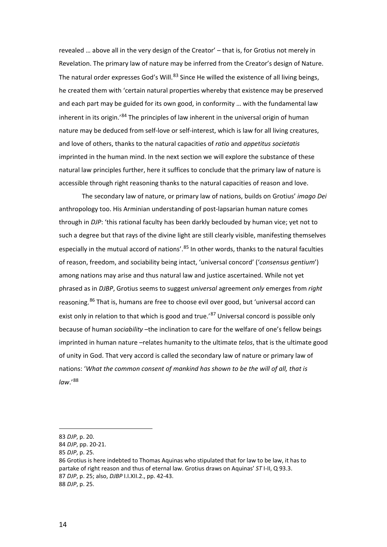revealed … above all in the very design of the Creator' – that is, for Grotius not merely in Revelation. The primary law of nature may be inferred from the Creator's design of Nature. The natural order expresses God's Will.<sup>[83](#page-16-0)</sup> Since He willed the existence of all living beings, he created them with 'certain natural properties whereby that existence may be preserved and each part may be guided for its own good, in conformity … with the fundamental law inherent in its origin.<sup>'[84](#page-16-1)</sup> The principles of law inherent in the universal origin of human nature may be deduced from self-love or self-interest, which is law for all living creatures, and love of others, thanks to the natural capacities of *ratio* and *appetitus societatis* imprinted in the human mind. In the next section we will explore the substance of these natural law principles further, here it suffices to conclude that the primary law of nature is accessible through right reasoning thanks to the natural capacities of reason and love.

The secondary law of nature, or primary law of nations, builds on Grotius' *imago Dei* anthropology too. His Arminian understanding of post-lapsarian human nature comes through in *DJP*: 'this rational faculty has been darkly beclouded by human vice; yet not to such a degree but that rays of the divine light are still clearly visible, manifesting themselves especially in the mutual accord of nations'.<sup>[85](#page-16-2)</sup> In other words, thanks to the natural faculties of reason, freedom, and sociability being intact, 'universal concord' ('*consensus gentium*') among nations may arise and thus natural law and justice ascertained. While not yet phrased as in *DJBP*, Grotius seems to suggest *universal* agreement *only* emerges from *right* reasoning.<sup>[86](#page-16-3)</sup> That is, humans are free to choose evil over good, but 'universal accord can exist only in relation to that which is good and true.'<sup>[87](#page-16-4)</sup> Universal concord is possible only because of human *sociability* –the inclination to care for the welfare of one's fellow beings imprinted in human nature –relates humanity to the ultimate *telos*, that is the ultimate good of unity in God. That very accord is called the secondary law of nature or primary law of nations: '*What the common consent of mankind has shown to be the will of all, that is law*.'[88](#page-16-5)

<span id="page-16-0"></span><sup>83</sup> *DJP*, p. 20.

<span id="page-16-1"></span><sup>84</sup> *DJP*, pp. 20-21.

<span id="page-16-2"></span><sup>85</sup> *DJP*, p. 25.

<span id="page-16-5"></span><span id="page-16-4"></span><span id="page-16-3"></span><sup>86</sup> Grotius is here indebted to Thomas Aquinas who stipulated that for law to be law, it has to partake of right reason and thus of eternal law. Grotius draws on Aquinas' *ST* I-II, Q 93.3. 87 *DJP*, p. 25; also, *DJBP* I.I.XII.2., pp. 42-43. 88 *DJP*, p. 25.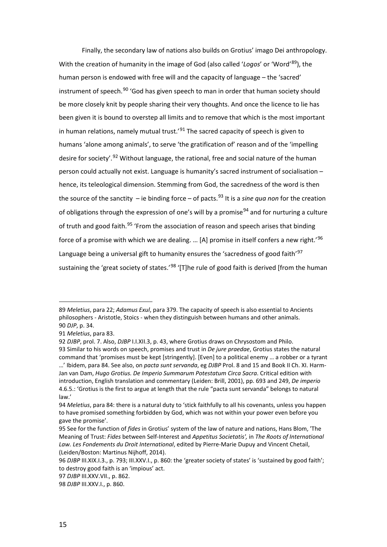Finally, the secondary law of nations also builds on Grotius' imago Dei anthropology. With the creation of humanity in the image of God (also called '*Logos*' or 'Word'[89\)](#page-17-0), the human person is endowed with free will and the capacity of language – the 'sacred' instrument of speech.<sup>[90](#page-17-1)</sup> 'God has given speech to man in order that human society should be more closely knit by people sharing their very thoughts. And once the licence to lie has been given it is bound to overstep all limits and to remove that which is the most important in human relations, namely mutual trust.<sup> $291$  $291$ </sup> The sacred capacity of speech is given to humans 'alone among animals', to serve 'the gratification of' reason and of the 'impelling desire for society'.<sup>[92](#page-17-3)</sup> Without language, the rational, free and social nature of the human person could actually not exist. Language is humanity's sacred instrument of socialisation – hence, its teleological dimension. Stemming from God, the sacredness of the word is then the source of the sanctity – ie binding force – of pacts.<sup>[93](#page-17-4)</sup> It is a *sine qua non* for the creation of obligations through the expression of one's will by a promise<sup>[94](#page-17-5)</sup> and for nurturing a culture of truth and good faith.<sup>[95](#page-17-6)</sup> 'From the association of reason and speech arises that binding force of a promise with which we are dealing. ... [A] promise in itself confers a new right.<sup>'[96](#page-17-7)</sup> Language being a universal gift to humanity ensures the 'sacredness of good faith'<sup>[97](#page-17-8)</sup> sustaining the 'great society of states.'<sup>[98](#page-17-9)</sup> '[T]he rule of good faith is derived [from the human

<span id="page-17-0"></span><sup>89</sup> *Meletius*, para 22; *Adamus Exul*, para 379. The capacity of speech is also essential to Ancients philosophers - Aristotle, Stoics - when they distinguish between humans and other animals. 90 *DJP*, p. 34.

<span id="page-17-2"></span><span id="page-17-1"></span><sup>91</sup> *Meletius*, para 83.

<span id="page-17-3"></span><sup>92</sup> *DJBP*, prol. 7. Also, *DJBP* I.I.XII.3, p. 43, where Grotius draws on Chrysostom and Philo.

<span id="page-17-4"></span><sup>93</sup> Similar to his words on speech, promises and trust in *De jure praedae*, Grotius states the natural command that 'promises must be kept [stringently]. [Even] to a political enemy … a robber or a tyrant …' Ibidem, para 84. See also, on *pacta sunt servanda*, eg *DJBP* Prol. 8 and 15 and Book II Ch. XI. Harm-Jan van Dam, *Hugo Grotius. De Imperio Summarum Potestatum Circa Sacra*. Critical edition with introduction, English translation and commentary (Leiden: Brill, 2001), pp. 693 and 249, *De imperio* 4.6.5.: 'Grotius is the first to argue at length that the rule "pacta sunt servanda" belongs to natural law.'

<span id="page-17-5"></span><sup>94</sup> *Meletius*, para 84: there is a natural duty to 'stick faithfully to all his covenants, unless you happen to have promised something forbidden by God, which was not within your power even before you gave the promise'.

<span id="page-17-6"></span><sup>95</sup> See for the function of *fides* in Grotius' system of the law of nature and nations, Hans Blom, 'The Meaning of Trust: *Fides* between Self-Interest and *Appetitus Societatis',* in *The Roots of International Law. Les Fondements du Droit International*, edited by Pierre-Marie Dupuy and Vincent Chetail, (Leiden/Boston: Martinus Nijhoff, 2014).

<span id="page-17-7"></span><sup>96</sup> *DJBP* III.XIX.I.3., p. 793; III.XXV.I., p. 860: the 'greater society of states' is 'sustained by good faith'; to destroy good faith is an 'impious' act.

<span id="page-17-8"></span><sup>97</sup> *DJBP* III.XXV.VII., p. 862.

<span id="page-17-9"></span><sup>98</sup> *DJBP* III.XXV.I., p. 860.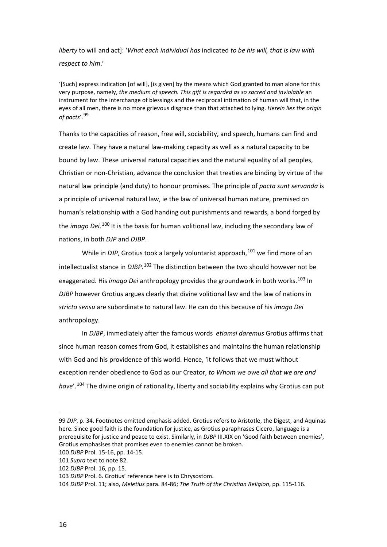*liberty* to will and act]: '*What each individual has* indicated *to be his will, that is law with respect to him*.'

'[Such] express indication [of will], [is given] by the means which God granted to man alone for this very purpose, namely, *the medium of speech. This gift is regarded as so sacred and inviolable* an instrument for the interchange of blessings and the reciprocal intimation of human will that, in the eyes of all men, there is no more grievous disgrace than that attached to lying. *Herein lies the origin of pacts*'.[99](#page-18-0)

<span id="page-18-6"></span>Thanks to the capacities of reason, free will, sociability, and speech, humans can find and create law. They have a natural law-making capacity as well as a natural capacity to be bound by law. These universal natural capacities and the natural equality of all peoples, Christian or non-Christian, advance the conclusion that treaties are binding by virtue of the natural law principle (and duty) to honour promises. The principle of *pacta sunt servanda* is a principle of universal natural law, ie the law of universal human nature, premised on human's relationship with a God handing out punishments and rewards, a bond forged by the *imago Dei*.<sup>[100](#page-18-1)</sup> It is the basis for human volitional law, including the secondary law of nations, in both *DJP* and *DJBP*.

While in *DJP*, Grotius took a largely voluntarist approach,<sup>[101](#page-18-2)</sup> we find more of an intellectualist stance in *DJBP*. [102](#page-18-3) The distinction between the two should however not be exaggerated. His *imago Dei* anthropology provides the groundwork in both works.<sup>[103](#page-18-4)</sup> In *DJBP* however Grotius argues clearly that divine volitional law and the law of nations in *stricto sensu* are subordinate to natural law. He can do this because of his *imago Dei* anthropology.

In *DJBP*, immediately after the famous words *etiamsi daremus* Grotius affirms that since human reason comes from God, it establishes and maintains the human relationship with God and his providence of this world. Hence, 'it follows that we must without exception render obedience to God as our Creator, *to Whom we owe all that we are and have*'.[104](#page-18-5) The divine origin of rationality, liberty and sociability explains why Grotius can put

<span id="page-18-0"></span><sup>99</sup> *DJP*, p. 34. Footnotes omitted emphasis added. Grotius refers to Aristotle, the Digest, and Aquinas here. Since good faith is the foundation for justice, as Grotius paraphrases Cicero, language is a prerequisite for justice and peace to exist. Similarly, in *DJBP* III.XIX on 'Good faith between enemies', Grotius emphasises that promises even to enemies cannot be broken.

<span id="page-18-1"></span><sup>100</sup> *DJBP* Prol. 15-16, pp. 14-15.

<span id="page-18-2"></span><sup>101</sup> *Supra* text to note [82.](#page-15-4)

<span id="page-18-3"></span><sup>102</sup> *DJBP* Prol. 16, pp. 15.

<span id="page-18-4"></span><sup>103</sup> *DJBP* Prol. 6. Grotius' reference here is to Chrysostom.

<span id="page-18-5"></span><sup>104</sup> *DJBP* Prol. 11; also, *Meletius* para. 84-86; *The Truth of the Christian Religion*, pp. 115-116.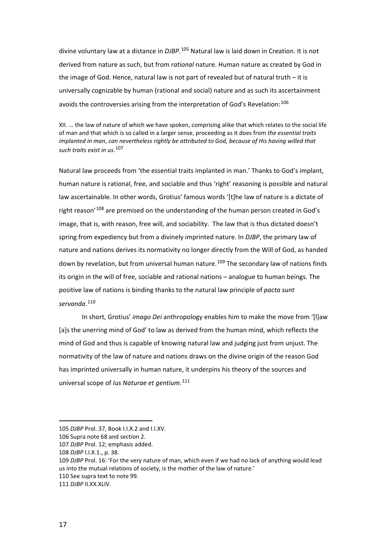divine voluntary law at a distance in *DJBP*. [105](#page-19-0) Natural law is laid down in Creation. It is not derived from nature as such, but from *rational* nature. Human nature as created by God in the image of God. Hence, natural law is not part of revealed but of natural truth – it is universally cognizable by human (rational and social) nature and as such its ascertainment avoids the controversies arising from the interpretation of God's Revelation:<sup>[106](#page-19-1)</sup>

XII. … the law of nature of which we have spoken, comprising alike that which relates to the social life of man and that which is so called in a larger sense, proceeding as it does from *the essential traits implanted in man*, *can nevertheless rightly be attributed to God, because of His having willed that such traits exist in us*. [107](#page-19-2)

Natural law proceeds from 'the essential traits implanted in man.' Thanks to God's implant, human nature is rational, free, and sociable and thus 'right' reasoning is possible and natural law ascertainable. In other words, Grotius' famous words '[t]he law of nature is a dictate of right reason<sup>'[108](#page-19-3)</sup> are premised on the understanding of the human person created in God's image, that is, with reason, free will, and sociability. The law that is thus dictated doesn't spring from expediency but from a divinely imprinted nature. In *DJBP*, the primary law of nature and nations derives its normativity no longer directly from the Will of God, as handed down by revelation, but from universal human nature.<sup>[109](#page-19-4)</sup> The secondary law of nations finds its origin in the will of free, sociable and rational nations – analogue to human beings. The positive law of nations is binding thanks to the natural law principle of *pacta sunt servanda*. [110](#page-19-5)

In short, Grotius' *imago Dei* anthropology enables him to make the move from '[l]aw [a]s the unerring mind of God' to law as derived from the human mind, which reflects the mind of God and thus is capable of knowing natural law and judging just from unjust. The normativity of the law of nature and nations draws on the divine origin of the reason God has imprinted universally in human nature, it underpins his theory of the sources and universal scope of *Ius Naturae et gentium*. [111](#page-19-6)

<span id="page-19-0"></span><sup>105</sup> *DJBP* Prol. 37, Book I.I.X.2 and I.I.XV.

<span id="page-19-2"></span><span id="page-19-1"></span><sup>106</sup> Supra note [68](#page-13-6) and section 2.

<sup>107</sup> *DJBP* Prol. 12; emphasis added.

<span id="page-19-3"></span><sup>108</sup> *DJBP* I.I.X.1., p. 38.

<span id="page-19-4"></span><sup>109</sup> *DJBP* Prol. 16: 'For the very nature of man, which even if we had no lack of anything would lead us into the mutual relations of society, is the mother of the law of nature.'

<span id="page-19-5"></span><sup>110</sup> See supra text to not[e 99.](#page-18-6)

<span id="page-19-6"></span><sup>111</sup> *DJBP* II.XX.XLIV.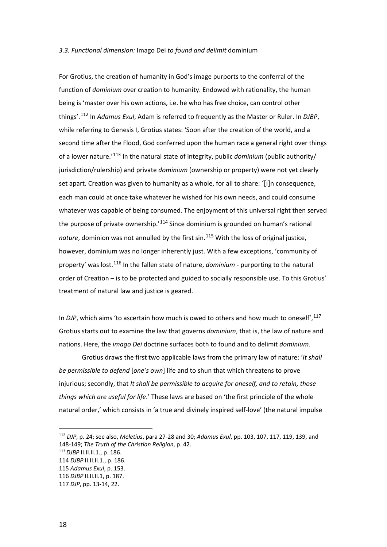#### *3.3. Functional dimension:* Imago Dei *to found and delimit* dominium

For Grotius, the creation of humanity in God's image purports to the conferral of the function of *dominium* over creation to humanity. Endowed with rationality, the human being is 'master over his own actions, i.e. he who has free choice, can control other things'.[112](#page-20-0) In *Adamus Exul*, Adam is referred to frequently as the Master or Ruler. In *DJBP*, while referring to Genesis I, Grotius states: 'Soon after the creation of the world, and a second time after the Flood, God conferred upon the human race a general right over things of a lower nature.'[113](#page-20-1) In the natural state of integrity, public *dominium* (public authority/ jurisdiction/rulership) and private *dominium* (ownership or property) were not yet clearly set apart. Creation was given to humanity as a whole, for all to share: '[i]n consequence, each man could at once take whatever he wished for his own needs, and could consume whatever was capable of being consumed. The enjoyment of this universal right then served the purpose of private ownership. $114$  Since dominium is grounded on human's rational *nature*, dominion was not annulled by the first sin.[115](#page-20-3) With the loss of original justice, however, dominium was no longer inherently just. With a few exceptions, 'community of property' was lost.[116](#page-20-4) In the fallen state of nature, *dominium* - purporting to the natural order of Creation – is to be protected and guided to socially responsible use. To this Grotius' treatment of natural law and justice is geared.

In *DJP*, which aims 'to ascertain how much is owed to others and how much to oneself', <sup>[117](#page-20-5)</sup> Grotius starts out to examine the law that governs *dominium*, that is, the law of nature and nations. Here, the *imago Dei* doctrine surfaces both to found and to delimit *dominium*.

Grotius draws the first two applicable laws from the primary law of nature: '*It shall be permissible to defend* [*one's own*] life and to shun that which threatens to prove injurious; secondly, that *It shall be permissible to acquire for oneself, and to retain, those things which are useful for life*.' These laws are based on 'the first principle of the whole natural order,' which consists in 'a true and divinely inspired self-love' (the natural impulse

<span id="page-20-0"></span> <sup>112</sup> *DJP*, p. 24; see also, *Meletius*, para 27-28 and 30; *Adamus Exul*, pp. 103, 107, 117, 119, 139, and 148-149; *The Truth of the Christian Religion*, p. 42.

<span id="page-20-1"></span><sup>113</sup>*DJBP* II.II.II.1., p. 186.

<span id="page-20-2"></span><sup>114</sup> *DJBP* II.II.II.1., p. 186.

<span id="page-20-3"></span><sup>115</sup> *Adamus Exul*, p. 153.

<span id="page-20-4"></span><sup>116</sup> *DJBP* II.II.II.1, p. 187.

<span id="page-20-5"></span><sup>117</sup> *DJP*, pp. 13-14, 22.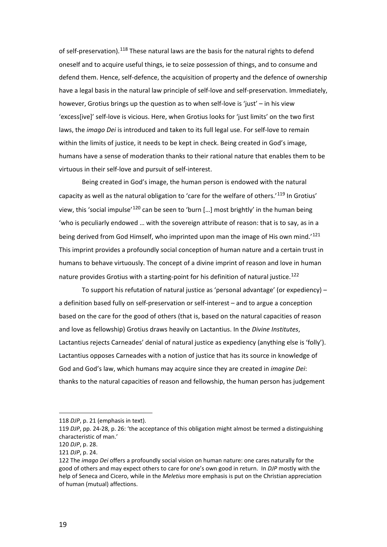of self-preservation).<sup>[118](#page-21-0)</sup> These natural laws are the basis for the natural rights to defend oneself and to acquire useful things, ie to seize possession of things, and to consume and defend them. Hence, self-defence, the acquisition of property and the defence of ownership have a legal basis in the natural law principle of self-love and self-preservation. Immediately, however, Grotius brings up the question as to when self-love is 'just' – in his view 'excess[ive]' self-love is vicious. Here, when Grotius looks for 'just limits' on the two first laws, the *imago Dei* is introduced and taken to its full legal use. For self-love to remain within the limits of justice, it needs to be kept in check. Being created in God's image, humans have a sense of moderation thanks to their rational nature that enables them to be virtuous in their self-love and pursuit of self-interest.

Being created in God's image, the human person is endowed with the natural capacity as well as the natural obligation to 'care for the welfare of others.'<sup>[119](#page-21-1)</sup> In Grotius' view, this 'social impulse'<sup>[120](#page-21-2)</sup> can be seen to 'burn [...] most brightly' in the human being 'who is peculiarly endowed … with the sovereign attribute of reason: that is to say, as in a being derived from God Himself, who imprinted upon man the image of His own mind.<sup>'[121](#page-21-3)</sup> This imprint provides a profoundly social conception of human nature and a certain trust in humans to behave virtuously. The concept of a divine imprint of reason and love in human nature provides Grotius with a starting-point for his definition of natural justice.<sup>[122](#page-21-4)</sup>

To support his refutation of natural justice as 'personal advantage' (or expediency) – a definition based fully on self-preservation or self-interest – and to argue a conception based on the care for the good of others (that is, based on the natural capacities of reason and love as fellowship) Grotius draws heavily on Lactantius. In the *Divine Institutes*, Lactantius rejects Carneades' denial of natural justice as expediency (anything else is 'folly'). Lactantius opposes Carneades with a notion of justice that has its source in knowledge of God and God's law, which humans may acquire since they are created in *imagine Dei*: thanks to the natural capacities of reason and fellowship, the human person has judgement

<span id="page-21-0"></span><sup>118</sup> *DJP*, p. 21 (emphasis in text).

<span id="page-21-1"></span><sup>119</sup> *DJP*, pp. 24-28, p. 26: 'the acceptance of this obligation might almost be termed a distinguishing characteristic of man.'

<span id="page-21-2"></span><sup>120</sup> *DJP*, p. 28.

<span id="page-21-3"></span><sup>121</sup> *DJP*, p. 24.

<span id="page-21-4"></span><sup>122</sup> The *imago Dei* offers a profoundly social vision on human nature: one cares naturally for the good of others and may expect others to care for one's own good in return. In *DJP* mostly with the help of Seneca and Cicero, while in the *Meletius* more emphasis is put on the Christian appreciation of human (mutual) affections.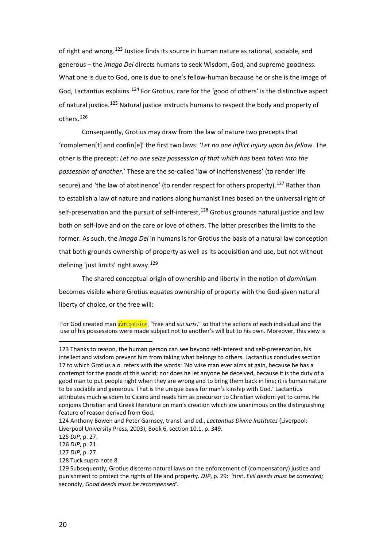of right and wrong.[123](#page-22-0) Justice finds its source in human nature as rational, sociable, and generous – the *imago Dei* directs humans to seek Wisdom, God, and supreme goodness. What one is due to God, one is due to one's fellow-human because he or she is the image of God, Lactantius explains.[124](#page-22-1) For Grotius, care for the 'good of others' is the distinctive aspect of natural justice.[125](#page-22-2) Natural justice instructs humans to respect the body and property of others.[126](#page-22-3)

Consequently, Grotius may draw from the law of nature two precepts that 'complemen[t] and confin[e]' the first two laws: '*Let no one inflict injury upon his fellow*. The other is the precept: *Let no one seize possession of that which has been taken into the possession of another*.' These are the so-called 'law of inoffensiveness' (to render life secure) and 'the law of abstinence' (to render respect for others property).<sup>[127](#page-22-4)</sup> Rather than to establish a law of nature and nations along humanist lines based on the universal right of self-preservation and the pursuit of self-interest,  $128$  Grotius grounds natural justice and law both on self-love and on the care or love of others. The latter prescribes the limits to the former. As such, the *imago Dei* in humans is for Grotius the basis of a natural law conception that both grounds ownership of property as well as its acquisition and use, but not without defining 'just limits' right away.<sup>[129](#page-22-6)</sup>

The shared conceptual origin of ownership and liberty in the notion of *dominium* becomes visible where Grotius equates ownership of property with the God-given natural liberty of choice, or the free will:

For God created man **au<sup>t</sup>**equision, "free and *sui iuris*," so that the actions of each individual and the use of his possessions were made subject not to another's will but to his own. Moreover, this view is

<span id="page-22-0"></span><sup>123</sup> Thanks to reason, the human person can see beyond self-interest and self-preservation, his intellect and wisdom prevent him from taking what belongs to others. Lactantius concludes section 17 to which Grotius a.o. refers with the words: 'No wise man ever aims at gain, because he has a contempt for the goods of this world; nor does he let anyone be deceived, because it is the duty of a good man to put people right when they are wrong and to bring them back in line; it is human nature to be sociable and generous. That is the unique basis for man's kinship with God.' Lactantius attributes much wisdom to Cicero and reads him as precursor to Christian wisdom yet to come. He conjoins Christian and Greek literature on man's creation which are unanimous on the distinguishing feature of reason derived from God.

<span id="page-22-1"></span><sup>124</sup> Anthony Bowen and Peter Garnsey, transl. and ed., *Lactantius Divine Institutes* (Liverpool: Liverpool University Press, 2003), Book 6, section 10.1, p. 349.

<span id="page-22-2"></span><sup>125</sup> *DJP*, p. 27.

<span id="page-22-3"></span><sup>126</sup> *DJP*, p. 21.

<span id="page-22-4"></span><sup>127</sup> *DJP*, p. 27.

<span id="page-22-5"></span><sup>128</sup> Tuck supra note 8.

<span id="page-22-6"></span><sup>129</sup> Subsequently, Grotius discerns natural laws on the enforcement of (compensatory) justice and punishment to protect the rights of life and property. *DJP*, p. 29: 'first, *Evil deeds must be corrected;*  secondly, *Good deeds must be recompensed'.*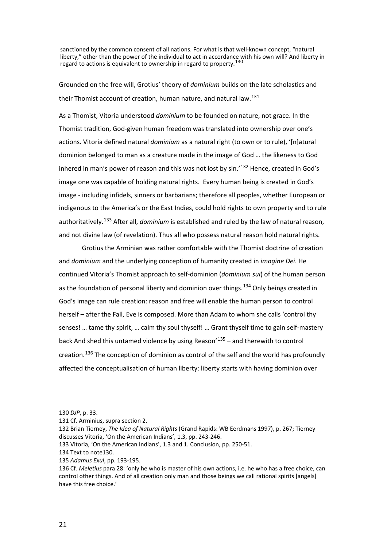<span id="page-23-0"></span>sanctioned by the common consent of all nations. For what is that well-known concept, "natural liberty," other than the power of the individual to act in accordance with his own will? And liberty in regard to actions is equivalent to ownership in regard to property.<sup>[130](#page-23-1)</sup>

Grounded on the free will, Grotius' theory of *dominium* builds on the late scholastics and their Thomist account of creation, human nature, and natural law.<sup>[131](#page-23-2)</sup>

As a Thomist, Vitoria understood *dominium* to be founded on nature, not grace. In the Thomist tradition, God-given human freedom was translated into ownership over one's actions. Vitoria defined natural *dominium* as a natural right (to own or to rule), '[n]atural dominion belonged to man as a creature made in the image of God … the likeness to God inhered in man's power of reason and this was not lost by  $sin.^{132}$  $sin.^{132}$  $sin.^{132}$  Hence, created in God's image one was capable of holding natural rights. Every human being is created in God's image - including infidels, sinners or barbarians; therefore all peoples, whether European or indigenous to the America's or the East Indies, could hold rights to own property and to rule authoritatively.[133](#page-23-4) After all, *dominium* is established and ruled by the law of natural reason, and not divine law (of revelation). Thus all who possess natural reason hold natural rights.

Grotius the Arminian was rather comfortable with the Thomist doctrine of creation and *dominium* and the underlying conception of humanity created in *imagine Dei*. He continued Vitoria's Thomist approach to self-dominion (*dominium sui*) of the human person as the foundation of personal liberty and dominion over things.<sup>[134](#page-23-5)</sup> Only beings created in God's image can rule creation: reason and free will enable the human person to control herself – after the Fall, Eve is composed. More than Adam to whom she calls 'control thy senses! … tame thy spirit, … calm thy soul thyself! … Grant thyself time to gain self-mastery back And shed this untamed violence by using Reason<sup>'[135](#page-23-6)</sup> – and therewith to control creation.<sup>[136](#page-23-7)</sup> The conception of dominion as control of the self and the world has profoundly affected the conceptualisation of human liberty: liberty starts with having dominion over

<span id="page-23-1"></span><sup>130</sup> *DJP*, p. 33.

<span id="page-23-2"></span><sup>131</sup> Cf. Arminius, supra section 2.

<span id="page-23-3"></span><sup>132</sup> Brian Tierney, *The Idea of Natural Rights* (Grand Rapids: WB Eerdmans 1997), p. 267; Tierney discusses Vitoria, 'On the American Indians', 1.3, pp. 243-246.

<span id="page-23-4"></span><sup>133</sup> Vitoria, 'On the American Indians', 1.3 and 1. Conclusion, pp. 250-51.

<span id="page-23-5"></span><sup>134</sup> Text to not[e130.](#page-23-0)

<span id="page-23-6"></span><sup>135</sup> *Adamus Exul*, pp. 193-195.

<span id="page-23-7"></span><sup>136</sup> Cf. *Meletius* para 28: 'only he who is master of his own actions, i.e. he who has a free choice, can control other things. And of all creation only man and those beings we call rational spirits [angels] have this free choice.'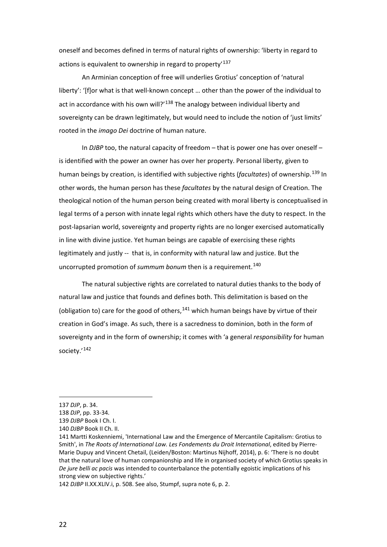oneself and becomes defined in terms of natural rights of ownership: 'liberty in regard to actions is equivalent to ownership in regard to property<sup>[137](#page-24-0)</sup>

An Arminian conception of free will underlies Grotius' conception of 'natural liberty': '[f]or what is that well-known concept … other than the power of the individual to act in accordance with his own will?' $138$  The analogy between individual liberty and sovereignty can be drawn legitimately, but would need to include the notion of 'just limits' rooted in the *imago Dei* doctrine of human nature.

In *DJBP* too, the natural capacity of freedom – that is power one has over oneself – is identified with the power an owner has over her property. Personal liberty, given to human beings by creation, is identified with subjective rights (*facultates*) of ownership.[139](#page-24-2) In other words, the human person has these *facultates* by the natural design of Creation. The theological notion of the human person being created with moral liberty is conceptualised in legal terms of a person with innate legal rights which others have the duty to respect. In the post-lapsarian world, sovereignty and property rights are no longer exercised automatically in line with divine justice. Yet human beings are capable of exercising these rights legitimately and justly -- that is, in conformity with natural law and justice. But the uncorrupted promotion of *summum bonum* then is a requirement.<sup>[140](#page-24-3)</sup>

The natural subjective rights are correlated to natural duties thanks to the body of natural law and justice that founds and defines both. This delimitation is based on the (obligation to) care for the good of others,  $141$  which human beings have by virtue of their creation in God's image. As such, there is a sacredness to dominion, both in the form of sovereignty and in the form of ownership; it comes with 'a general *responsibility* for human society.'<sup>[142](#page-24-5)</sup>

<span id="page-24-0"></span><sup>137</sup> *DJP*, p. 34.

<span id="page-24-1"></span><sup>138</sup> *DJP*, pp. 33-34.

<span id="page-24-2"></span><sup>139</sup> *DJBP* Book I Ch. I.

<span id="page-24-3"></span><sup>140</sup> *DJBP* Book II Ch. II.

<span id="page-24-4"></span><sup>141</sup> Martti Koskenniemi, 'International Law and the Emergence of Mercantile Capitalism: Grotius to Smith', in *The Roots of International Law. Les Fondements du Droit International*, edited by Pierre-Marie Dupuy and Vincent Chetail, (Leiden/Boston: Martinus Nijhoff, 2014), p. 6: 'There is no doubt that the natural love of human companionship and life in organised society of which Grotius speaks in *De jure belli ac pacis* was intended to counterbalance the potentially egoistic implications of his strong view on subjective rights.'

<span id="page-24-5"></span><sup>142</sup> *DJBP* II.XX.XLIV.i, p. 508. See also, Stumpf, supra note [6,](#page-4-7) p. 2.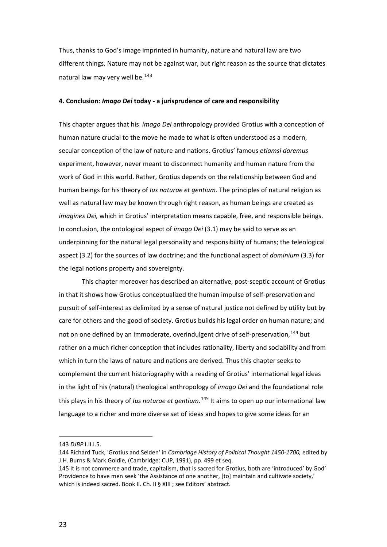Thus, thanks to God's image imprinted in humanity, nature and natural law are two different things. Nature may not be against war, but right reason as the source that dictates natural law may very well be.[143](#page-25-0)

#### **4. Conclusion***: Imago Dei* **today - a jurisprudence of care and responsibility**

This chapter argues that his *imago Dei* anthropology provided Grotius with a conception of human nature crucial to the move he made to what is often understood as a modern, secular conception of the law of nature and nations. Grotius' famous *etiamsi daremus* experiment, however, never meant to disconnect humanity and human nature from the work of God in this world. Rather, Grotius depends on the relationship between God and human beings for his theory of *Ius naturae et gentium*. The principles of natural religion as well as natural law may be known through right reason, as human beings are created as *imagines Dei,* which in Grotius' interpretation means capable, free, and responsible beings. In conclusion, the ontological aspect of *imago Dei* (3.1) may be said to serve as an underpinning for the natural legal personality and responsibility of humans; the teleological aspect (3.2) for the sources of law doctrine; and the functional aspect of *dominium* (3.3) for the legal notions property and sovereignty.

This chapter moreover has described an alternative, post-sceptic account of Grotius in that it shows how Grotius conceptualized the human impulse of self-preservation and pursuit of self-interest as delimited by a sense of natural justice not defined by utility but by care for others and the good of society. Grotius builds his legal order on human nature; and not on one defined by an immoderate, overindulgent drive of self-preservation, <sup>[144](#page-25-1)</sup> but rather on a much richer conception that includes rationality, liberty and sociability and from which in turn the laws of nature and nations are derived. Thus this chapter seeks to complement the current historiography with a reading of Grotius' international legal ideas in the light of his (natural) theological anthropology of *imago Dei* and the foundational role this plays in his theory of *Ius naturae et gentium*. [145](#page-25-2) It aims to open up our international law language to a richer and more diverse set of ideas and hopes to give some ideas for an

<sup>143</sup> *DJBP* I.II.I.5.

<span id="page-25-1"></span><span id="page-25-0"></span><sup>144</sup> Richard Tuck, 'Grotius and Selden' in *Cambridge History of Political Thought 1450-1700,* edited by J.H. Burns & Mark Goldie, (Cambridge: CUP, 1991), pp. 499 et seq.

<span id="page-25-2"></span><sup>145</sup> It is not commerce and trade, capitalism, that is sacred for Grotius, both are 'introduced' by God' Providence to have men seek 'the Assistance of one another, [to] maintain and cultivate society,' which is indeed sacred. Book II. Ch. II § XIII ; see Editors' abstract.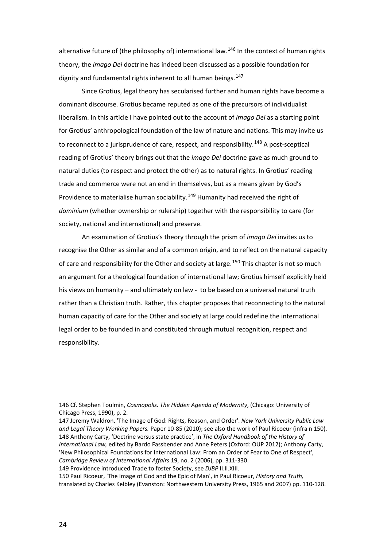alternative future of (the philosophy of) international law.<sup>[146](#page-26-0)</sup> In the context of human rights theory, the *imago Dei* doctrine has indeed been discussed as a possible foundation for dignity and fundamental rights inherent to all human beings.  $147$ 

Since Grotius, legal theory has secularised further and human rights have become a dominant discourse. Grotius became reputed as one of the precursors of individualist liberalism. In this article I have pointed out to the account of *imago Dei* as a starting point for Grotius' anthropological foundation of the law of nature and nations. This may invite us to reconnect to a jurisprudence of care, respect, and responsibility.<sup>[148](#page-26-2)</sup> A post-sceptical reading of Grotius' theory brings out that the *imago Dei* doctrine gave as much ground to natural duties (to respect and protect the other) as to natural rights. In Grotius' reading trade and commerce were not an end in themselves, but as a means given by God's Providence to materialise human sociability.<sup>[149](#page-26-3)</sup> Humanity had received the right of *dominium* (whether ownership or rulership) together with the responsibility to care (for society, national and international) and preserve.

An examination of Grotius's theory through the prism of *imago Dei* invites us to recognise the Other as similar and of a common origin, and to reflect on the natural capacity of care and responsibility for the Other and society at large.<sup>[150](#page-26-4)</sup> This chapter is not so much an argument for a theological foundation of international law; Grotius himself explicitly held his views on humanity – and ultimately on law - to be based on a universal natural truth rather than a Christian truth. Rather, this chapter proposes that reconnecting to the natural human capacity of care for the Other and society at large could redefine the international legal order to be founded in and constituted through mutual recognition, respect and responsibility.

<span id="page-26-0"></span><sup>146</sup> Cf. Stephen Toulmin, *Cosmopolis. The Hidden Agenda of Modernity*, (Chicago: University of Chicago Press, 1990), p. 2.

<span id="page-26-2"></span><span id="page-26-1"></span><sup>147</sup> Jeremy Waldron, 'The Image of God: Rights, Reason, and Order'. *New York University Public Law and Legal Theory Working Papers.* Paper 10-85 (2010); see also the work of Paul Ricoeur (infra n 150). 148 Anthony Carty, 'Doctrine versus state practice', in *The Oxford Handbook of the History of International Law,* edited by Bardo Fassbender and Anne Peters (Oxford: OUP 2012); Anthony Carty, 'New Philosophical Foundations for International Law: From an Order of Fear to One of Respect', *Cambridge Review of International Affairs* 19, no. 2 (2006), pp. 311-330.

<span id="page-26-3"></span><sup>149</sup> Providence introduced Trade to foster Society, see *DJBP* II.II.XIII.

<span id="page-26-4"></span><sup>150</sup> Paul Ricoeur, 'The Image of God and the Epic of Man', in Paul Ricoeur, *History and Truth,*  translated by Charles Kelbley (Evanston: Northwestern University Press, 1965 and 2007) pp. 110-128.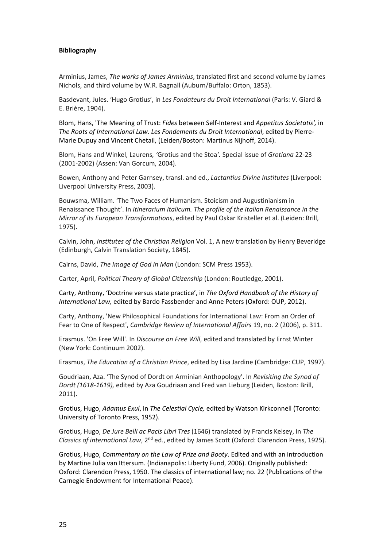#### **Bibliography**

Arminius, James, *The works of James Arminius*, translated first and second volume by James Nichols, and third volume by W.R. Bagnall (Auburn/Buffalo: Orton, 1853).

Basdevant, Jules. 'Hugo Grotius', in *Les Fondateurs du Droit International* (Paris: V. Giard & E. Brière, 1904).

Blom, Hans, 'The Meaning of Trust: *Fides* between Self-Interest and *Appetitus Societatis',* in *The Roots of International Law. Les Fondements du Droit International*, edited by Pierre-Marie Dupuy and Vincent Chetail, (Leiden/Boston: Martinus Nijhoff, 2014).

Blom, Hans and Winkel, Laurens*, '*Grotius and the Stoa*'.* Special issue of *Grotiana* 22-23 (2001-2002) (Assen: Van Gorcum, 2004).

Bowen, Anthony and Peter Garnsey, transl. and ed., *Lactantius Divine Institutes* (Liverpool: Liverpool University Press, 2003).

Bouwsma, William. 'The Two Faces of Humanism. Stoicism and Augustinianism in Renaissance Thought'. In *Itinerarium Italicum. The profile of the Italian Renaissance in the Mirror of its European Transformations*, edited by Paul Oskar Kristeller et al. (Leiden: Brill, 1975).

Calvin, John, *Institutes of the Christian Religion* Vol. 1, A new translation by Henry Beveridge (Edinburgh, Calvin Translation Society, 1845).

Cairns, David, *The Image of God in Man* (London: SCM Press 1953).

Carter, April, *Political Theory of Global Citizenship* (London: Routledge, 2001).

Carty, Anthony, 'Doctrine versus state practice', in *The Oxford Handbook of the History of International Law,* edited by Bardo Fassbender and Anne Peters (Oxford: OUP, 2012).

Carty, Anthony, 'New Philosophical Foundations for International Law: From an Order of Fear to One of Respect', *Cambridge Review of International Affairs* 19, no. 2 (2006), p. 311.

Erasmus. 'On Free Will'. In *Discourse on Free Will*, edited and translated by Ernst Winter (New York: Continuum 2002).

Erasmus, *The Education of a Christian Prince*, edited by Lisa Jardine (Cambridge: CUP, 1997).

Goudriaan, Aza. 'The Synod of Dordt on Arminian Anthopology'. In *Revisiting the Synod of Dordt (1618-1619),* edited by Aza Goudriaan and Fred van Lieburg (Leiden, Boston: Brill, 2011).

Grotius, Hugo, *Adamus Exul*, in *The Celestial Cycle,* edited by Watson Kirkconnell (Toronto: University of Toronto Press, 1952).

Grotius, Hugo, *De Jure Belli ac Pacis Libri Tres* (1646) translated by Francis Kelsey, in *The Classics of international Law,* 2<sup>nd</sup> ed., edited by James Scott (Oxford: Clarendon Press, 1925).

Grotius, Hugo, *Commentary on the Law of Prize and Booty*. Edited and with an introduction by Martine Julia van Ittersum. (Indianapolis: Liberty Fund, 2006). Originally published: Oxford: Clarendon Press, 1950. The classics of international law; no. 22 (Publications of the Carnegie Endowment for International Peace).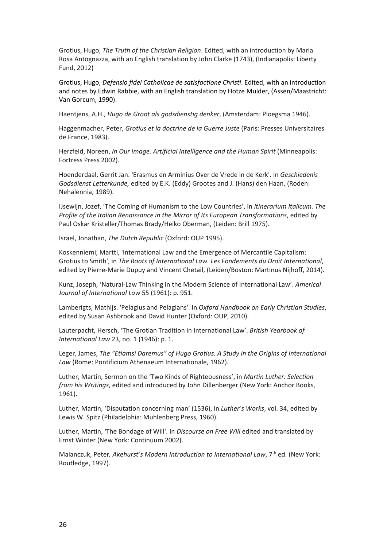Grotius, Hugo, *The Truth of the Christian Religion*. Edited, with an introduction by Maria Rosa Antognazza, with an English translation by John Clarke (1743), (Indianapolis: Liberty Fund, 2012)

Grotius, Hugo, *Defensio fidei Catholicae de satisfactione Christi*. Edited, with an introduction and notes by Edwin Rabbie, with an English translation by Hotze Mulder, (Assen/Maastricht: Van Gorcum, 1990).

Haentjens, A.H., *Hugo de Groot als godsdienstig denker*, (Amsterdam: Ploegsma 1946).

Haggenmacher, Peter, *Grotius et la doctrine de la Guerre Juste* (Paris: Presses Universitaires de France, 1983).

Herzfeld, Noreen, *In Our Image. Artificial Intelligence and the Human Spirit* (Minneapolis: Fortress Press 2002).

Hoenderdaal, Gerrit Jan. 'Erasmus en Arminius Over de Vrede in de Kerk'. In *Geschiedenis Godsdienst Letterkunde,* edited by E.K. (Eddy) Grootes and J. (Hans) den Haan, (Roden: Nehalennia, 1989).

IJsewijn, Jozef, 'The Coming of Humanism to the Low Countries', in *Itinerarium Italicum. The Profile of the Italian Renaissance in the Mirror of Its European Transformations*, edited by Paul Oskar Kristeller/Thomas Brady/Heiko Oberman, (Leiden: Brill 1975).

Israel, Jonathan, *The Dutch Republic* (Oxford: OUP 1995).

Koskenniemi, Martti, 'International Law and the Emergence of Mercantile Capitalism: Grotius to Smith', in *The Roots of International Law. Les Fondements du Droit International*, edited by Pierre-Marie Dupuy and Vincent Chetail, (Leiden/Boston: Martinus Nijhoff, 2014).

Kunz, Joseph, 'Natural-Law Thinking in the Modern Science of International Law'. *Americal Journal of International Law* 55 (1961): p. 951.

Lamberigts, Mathijs. 'Pelagius and Pelagians'. In *Oxford Handbook on Early Christian Studies*, edited by Susan Ashbrook and David Hunter (Oxford: OUP, 2010).

Lauterpacht, Hersch, 'The Grotian Tradition in International Law'. *British Yearbook of International Law* 23, no. 1 (1946): p. 1.

Leger, James, *The "Etiamsi Daremus" of Hugo Grotius. A Study in the Origins of International Law* (Rome: Pontificium Athenaeum Internationale, 1962).

Luther, Martin, Sermon on the 'Two Kinds of Righteousness', in *Martin Luther: Selection from his Writings*, edited and introduced by John Dillenberger (New York: Anchor Books, 1961).

Luther, Martin, 'Disputation concerning man' (1536), in *Luther's Works*, vol. 34, edited by Lewis W. Spitz (Philadelphia: Muhlenberg Press, 1960).

Luther, Martin, *'*The Bondage of Will'. In *Discourse on Free Will* edited and translated by Ernst Winter (New York: Continuum 2002).

Malanczuk, Peter, Akehurst's Modern Introduction to International Law, 7<sup>th</sup> ed. (New York: Routledge, 1997).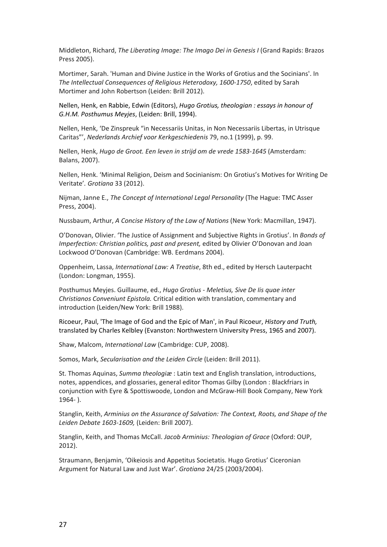Middleton, Richard, *The Liberating Image: The Imago Dei in Genesis I* (Grand Rapids: Brazos Press 2005).

Mortimer, Sarah. 'Human and Divine Justice in the Works of Grotius and the Socinians'. In *The Intellectual Consequences of Religious Heterodoxy, 1600-1750*, edited by Sarah Mortimer and John Robertson (Leiden: Brill 2012).

Nellen, Henk, en Rabbie, Edwin (Editors), *Hugo Grotius, theologian : essays in honour of G.H.M. Posthumus Meyjes*, (Leiden: Brill, 1994).

Nellen, Henk, 'De Zinspreuk "in Necessariis Unitas, in Non Necessariis Libertas, in Utrisque Caritas"', *Nederlands Archief voor Kerkgeschiedenis* 79, no.1 (1999), p. 99.

Nellen, Henk, *Hugo de Groot. Een leven in strijd om de vrede 1583-1645* (Amsterdam: Balans, 2007).

Nellen, Henk. 'Minimal Religion, Deism and Socinianism: On Grotius's Motives for Writing De Veritate'*. Grotiana* 33 (2012).

Nijman, Janne E., *The Concept of International Legal Personality* (The Hague: TMC Asser Press, 2004).

Nussbaum, Arthur, *A Concise History of the Law of Nations* (New York: Macmillan, 1947).

O'Donovan, Olivier. 'The Justice of Assignment and Subjective Rights in Grotius'. In *Bonds of Imperfection: Christian politics, past and present, edited by Olivier O'Donovan and Joan* Lockwood O'Donovan (Cambridge: WB. Eerdmans 2004).

Oppenheim, Lassa, *International Law: A Treatise*, 8th ed., edited by Hersch Lauterpacht (London: Longman, 1955).

Posthumus Meyjes. Guillaume, ed., *Hugo Grotius - Meletius, Sive De Iis quae inter Christianos Conveniunt Epistola.* Critical edition with translation, commentary and introduction (Leiden/New York: Brill 1988).

Ricoeur, Paul, 'The Image of God and the Epic of Man', in Paul Ricoeur, *History and Truth,*  translated by Charles Kelbley (Evanston: Northwestern University Press, 1965 and 2007).

Shaw, Malcom, *International Law* (Cambridge: CUP, 2008).

Somos, Mark, *Secularisation and the Leiden Circle* (Leiden: Brill 2011).

St. Thomas Aquinas, *Summa theologiæ* : Latin text and English translation, introductions, notes, appendices, and glossaries, general editor Thomas Gilby (London : Blackfriars in conjunction with Eyre & Spottiswoode, London and McGraw-Hill Book Company, New York 1964- ).

Stanglin, Keith, *Arminius on the Assurance of Salvation: The Context, Roots, and Shape of the Leiden Debate 1603-1609,* (Leiden: Brill 2007).

Stanglin, Keith, and Thomas McCall. *Jacob Arminius: Theologian of Grace* (Oxford: OUP, 2012).

Straumann, Benjamin, 'Oikeiosis and Appetitus Societatis. Hugo Grotius' Ciceronian Argument for Natural Law and Just War'. *Grotiana* 24/25 (2003/2004).